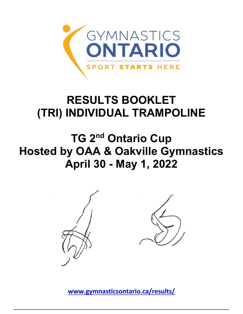

## **RESULTS BOOKLET (TRI) INDIVIDUAL TRAMPOLINE**

**TG 2nd Ontario Cup Hosted by OAA & Oakville Gymnastics April 30 - May 1, 2022**



**[www.gymnasticsontario.ca/results/](https://www.gymnasticsontario.ca/results/)**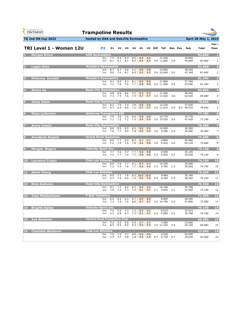| <b>GYMNASTICS</b><br><b>ONTARIO</b><br><b>SPORT STARTS HERE</b> | <b>Trampoline Results</b>             |            |            |                |            |            |                      |            |                     |                            |                |                      |                      |                      |
|-----------------------------------------------------------------|---------------------------------------|------------|------------|----------------|------------|------------|----------------------|------------|---------------------|----------------------------|----------------|----------------------|----------------------|----------------------|
| <b>TG 2nd ON Cup 2022</b>                                       | hosted by OAA and Oakville Gymnastics |            |            |                |            |            |                      |            |                     |                            |                |                      | April 29-May 1, 2022 |                      |
| TRI Level 1 - Women 12U                                         |                                       | P2         | E1         | E <sub>2</sub> | E3         | E4         | H1.                  |            | H <sub>2</sub> Diff | ToF                        | <b>Bon</b> Pen | Sub                  | Total                | Page 1<br>Posn       |
| <b>Morgan Bruce</b>                                             | <b>AIM Gymnastics</b>                 | Set<br>Vol | 7.5<br>8.1 | 8.4<br>8.7     | 8.3<br>8.1 | 8.9<br>8.5 | 9.9<br>9.4           | 9.9<br>9.4 |                     | 12.200<br>3.6 11.660       | 3.6            | 38.800<br>44.860     | 83,660<br>83.660     | п<br>1               |
| <b>Logan Sims</b>                                               | <b>Manjak's Gymnastics</b>            | Set<br>Vol | 8.7<br>8.0 | 8.7<br>7.6     | 8.8<br>8.1 | 9.1<br>8.0 | 9.8<br>9.5           | 9.8<br>9.5 |                     | 10.960<br>3.6 10.640       | 3.6            | 38.260<br>43.340     | 81.600<br>81.600     | 2<br>$\overline{2}$  |
| Mckenna Kendall                                                 | <b>Manjak's Gymnastics</b>            | Set<br>Vol | 8.1<br>7.2 | 8.5<br>7.8     | 8.2<br>7.6 | 8.1<br>7.7 | 9.6<br>9.8           | 9.6<br>9.8 |                     | 11.860<br>3.6 11.280       | 3.6            | 37.760<br>43.580     | 81.340<br>81.340     | з<br>3               |
| <b>Alaina Ha</b>                                                | <b>Rose City Gymnastics</b>           | Set<br>Vol | 8.8<br>7.3 | 8.6<br>7.5     | 8.6<br>7.6 | 9.3<br>7.9 | 9.3<br>9.7           | 9.3<br>9.7 |                     | 11.560<br>3.0 11.620       | 3.0            | 38.260<br>42.420     | 80.680<br>80.680     | 4<br>$\overline{4}$  |
| <b>Jacey Adam</b>                                               | <b>Rose City Gymnastics</b>           | Set<br>Vol | 8.2<br>6.7 | 7.9<br>6.4     | 7.9<br>6.8 | 7.9<br>7.2 | 9.6<br>9.7           | 9.6<br>9.7 |                     | 12.230<br>3.0 11.610       | 3.0            | 37.630<br>0.4 40.410 | 78.040<br>78.040     | 5<br>5               |
| <b>Maya Lederman</b><br>6                                       | <b>Airborne Trampoline KW</b>         | Set<br>Vol | 7.5<br>7.1 | 7.6<br>7.2     | 7.6<br>7.1 | 8.0<br>7.5 | 9.8<br>9.4           | 9.8<br>9.4 |                     | 10.770<br>3.6 10.520       | 3.6            | 35.770<br>41.420     | 77.190<br>77.190     | $6\phantom{1}6$<br>6 |
| <b>Avery Cowan</b>                                              | <b>Rose City Gymnastics</b>           | Set<br>Vol | 8.6<br>7.6 | 8.5<br>7.7     | 8.5<br>8.0 | 8.5<br>7.8 | 9.5<br>9.0           | 9.5<br>9.0 | 3.0                 | 10.000<br>9.580            | 3.0            | 36.500<br>40.080     | 76.580<br>76.580     | 7<br>$\overline{z}$  |
| <b>Annabella Rossini</b><br>8                                   | <b>Grand River Gymmies</b>            | Set<br>Vol | 8.0<br>7.2 | 7.7<br>7.4     | 8.0<br>7.6 | 8.2<br>7.8 | 9.7<br>9.6           | 9.7<br>9.6 | 3.0                 | 9.860<br>9.520             | 3.0            | 35.560<br>40.120     | 75.680<br>75.680     | 8<br>8               |
| <b>Morgan Rogers</b><br>9                                       | <b>Velocity Sport Inc.</b>            | Set<br>Vol | 7.7<br>7.2 | 7.6<br>7.7     | 7.7<br>7.6 | 7.7<br>7.7 | 9.8<br>9.8           | 9.8<br>9.8 | 2.5                 | 9.990<br>9.830             | 2.5            | 35.190<br>39.930     | 75.120<br>75.120     | 9<br>9               |
| <b>Laurence Crepin</b><br>10                                    | <b>Club Les Sittelles</b>             | Set<br>Vol | 8.0<br>7.3 | 7.6<br>7.5     | 7.7<br>7.6 | 8.1<br>7.7 | 9.7<br>9.6           | 9.7<br>9.6 |                     | 10.290<br>2.3 9.760        | 2.3            | 35.690<br>39.060     | 74.750<br>74.750     | 10<br>10             |
| <b>Adele Cheng</b><br>11                                        | <b>Club Les Sittelles</b>             | Set<br>Vol | 8.0<br>6.7 | 7.7<br>7.0     | 7.8<br>6.9 | 7.4        | 8.2 10.0 10.0<br>9.5 | 9.5        | 2.9                 | 9.960<br>9.360             | 2.9            | 35.760<br>38.560     | 74.320<br>74.320     | 11<br>11             |
| <b>Nina Andrews</b><br>12 <sup>7</sup>                          | <b>Rose City Gymnastics</b>           | Set<br>Vol | 8.2<br>7.0 | 7.7<br>7.3     | 8.0<br>7.3 | 8.2<br>7.6 | 9.4<br>9.1           | 9.4<br>9.1 |                     | 10.180<br>2.1 9.650        | 2.1            | 35.780<br>37.550     | 73.330<br>73.330     | 12<br>12             |
| 13 Yuzu Moldenhaver                                             | <b>T-Dot Tumblers</b>                 | Set<br>Vol | 6.4<br>7.3 | 6.4<br>7.8     | 6.3<br>7.6 | 6.7<br>8.0 | 8.0<br>9.7           | 8.0<br>9.7 |                     | 8.890<br>3.0 10.790        | 3.0            | 29.690<br>41.890     | 71.580<br>71.580     | 13<br>13             |
| <b>Brigitte Bailey</b><br>14                                    | <b>Velocity Sport Inc.</b>            | Set<br>Vol | 7.4<br>6.2 | 6.9<br>6.8     | 7.3<br>6.3 | 7.3<br>7.2 | 9.2<br>9.1           | 9.2        |                     | 9.610<br>$9.1$ 2.5 $9.580$ | 2.5            | 33.410<br>36.780     | 70.190<br>70.190     | 14<br>14             |
| <b>Ava Renshaw</b><br>15                                        | <b>Vertical Zone Trampoline Club</b>  | Set<br>Vol | 5.2<br>8.0 | 5.2<br>8.4     | 5.0<br>8.0 | 5.4<br>8.3 | 5.7<br>9.5           | 5.7<br>9.5 |                     | 7.560<br>3.6 12.320        | 3.6            | 23.660<br>45.320     | 68.980<br>68.980     | 15<br>15             |
| <b>Charlotte Windover</b><br>16                                 | <b>Club Les Sittelles</b>             | Set<br>Vol | 7.8<br>3.9 | 7.4<br>3.7     | 7.7<br>3.8 | 8.0<br>3.8 | 9.9<br>4.9           | 9.9<br>4.9 | 0.7                 | 9.530<br>4.730 0.7         |                | 34.930<br>18.630     | 53.560<br>53.560     | 16<br>16             |

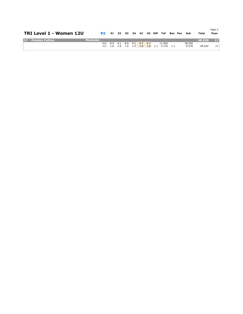| TRI Level 1 - Women 12U |         | P <sub>2</sub> |                             |  |  |  | E1 E2 E3 E4 H1 H2 Diff ToF Bon Pen    | – Sub  | Total  | Page 2<br>Posn  |
|-------------------------|---------|----------------|-----------------------------|--|--|--|---------------------------------------|--------|--------|-----------------|
| 17 Presley Collins      | Muskoka |                |                             |  |  |  |                                       |        | 48.520 | 17 <sup>1</sup> |
|                         |         |                | Set 8.9 9.1 8.9 9.2 9.7 9.7 |  |  |  | 11.550                                | 39.250 |        |                 |
|                         |         |                |                             |  |  |  | Vol 1.6 1.6 1.5 1.5 1.8 1.8 1.1 2.170 | 9.270  | 48.520 | 17              |
|                         |         |                |                             |  |  |  |                                       |        |        |                 |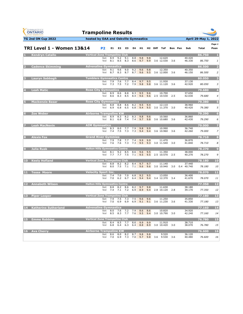| <b>GYMNASTICS</b><br>ONTARIO<br><b>SPORT STARTS HERE</b> | <b>Trampoline Results</b> |                                       |                    |                |            |            |            |            |                     |                          |     |         |                      |                 |                 |
|----------------------------------------------------------|---------------------------|---------------------------------------|--------------------|----------------|------------|------------|------------|------------|---------------------|--------------------------|-----|---------|----------------------|-----------------|-----------------|
| <b>TG 2nd ON Cup 2022</b>                                |                           | hosted by OAA and Oakville Gymnastics |                    |                |            |            |            |            |                     |                          |     |         |                      | April 29-May 1, | 2022            |
| <b>TRI Level 1 - Women 13&amp;14</b>                     |                           | P <sub>2</sub>                        | E1.                | E <sub>2</sub> | E3         | E4         | H1         |            | H <sub>2</sub> Diff | ToF                      |     | Bon Pen | Sub                  | Total           | Page 1<br>Posn  |
| <b>Kendryn Catallo</b>                                   |                           | <b>Vertical Zone Trampoline Club</b>  |                    |                |            |            |            |            |                     |                          |     |         |                      | 86.750          | и.              |
|                                                          |                           | Set<br>Vol                            | 8.9<br>8.1         | 9.2<br>8.5     | 9.1<br>8.3 | 8.8<br>8.6 | 9.8<br>9.7 | 9.8<br>9.9 |                     | 12.620<br>3.6 12.530     | 3.6 |         | 40.420<br>46.330     | 86.750          | 1               |
| <b>Cadence Skimming</b><br>Þ.                            |                           | <b>Adrenaline Gymnastics</b>          |                    |                |            |            |            |            |                     |                          |     |         |                      | 86.500          | 2               |
|                                                          |                           | Set<br>Vol                            | 9.1<br>8.7         | 9.6<br>8.3     | 9.0<br>8.7 | 9.2<br>8.7 | 9.6<br>9.6 | 9.8<br>9.5 |                     | 12.350<br>3.6 12.000     | 3.6 |         | 40.350<br>46.150     | 86.500          | 2               |
| <b>Lauryn Sabbagh</b><br>B                               |                           | <b>Tumblers Gymnastics Centre</b>     |                    |                |            |            |            |            |                     |                          |     |         |                      | 80.050          | 3               |
|                                                          |                           | Set<br>Vol                            | 7.9<br>7.3         | 7.6<br>7.5     | 7.7<br>7.2 | 8.4<br>7.9 | 9.7<br>9.8 | 9.5<br>9.8 |                     | 11.930<br>3.6 11.120     | 3.6 |         | 37.130<br>42.920     | 80.050          | 3               |
| <b>Leah Matic</b><br>$\overline{4}$                      |                           | <b>Rose City Gymnastics</b>           |                    |                |            |            |            |            |                     |                          |     |         |                      | 79.680          | $\overline{4}$  |
|                                                          |                           | Set<br>Vol                            | 8.9<br>8.6         | 8.6<br>8.3     | 8.8<br>8.5 | 8.3<br>8.4 | 9.5<br>9.6 | 9.6<br>9.6 |                     | 10.700<br>2.5 10.530     | 2.5 |         | 37.650<br>42.030     | 79.680          | $\overline{4}$  |
| <b>Mackenzie Basar</b><br>ы                              |                           | <b>Rose City Gymnastics</b>           |                    |                |            |            |            |            |                     |                          |     |         |                      | 79.380          | 5               |
|                                                          |                           | Set<br>Vol                            | 8.8<br>6.9         | 8.8<br>6.8     | 8.6<br>6.5 | 8.2<br>6.8 | 9.5<br>9.4 | 9.4<br>9.5 |                     | 12.110<br>3.0 11.370     | 3.0 |         | 38.960<br>40.420     | 79.380          | 5               |
| Zoe Weber<br>6                                           |                           | <b>Airborne Trampoline KW</b>         |                    |                |            |            |            |            |                     |                          |     |         |                      | 79.290          | 6               |
|                                                          |                           | Set<br>Vol                            | 8.9<br>8.1         | 8.3<br>6.8     | 8.2<br>7.4 | 8.3<br>7.4 | 9.8<br>9.7 | 9.6<br>9.8 |                     | 10.560<br>3.6 10.680     | 3.6 |         | 36.860<br>42.430     | 79.290          | 6               |
| <b>Leah MacNevin</b>                                     |                           | <b>AIM Gymnastics</b>                 |                    |                |            |            |            |            |                     |                          |     |         |                      | 79.000          | 7               |
|                                                          |                           | Set<br>Vol                            | 8.3<br>7.4         | 8.0<br>7.5     | 7.7<br>7.3 | 7.9<br>7.3 | 9.8<br>9.4 | 9.9<br>9.4 |                     | 10.990<br>3.6 10.960     | 3.6 |         | 36.740<br>42.260     | 79.000          | $\overline{z}$  |
| <b>Alexis Fox</b><br>B                                   |                           | <b>Grand River Gymmies</b>            |                    |                |            |            |            |            |                     |                          |     |         |                      | 78.710          | 8               |
|                                                          |                           | Set<br>Vol                            | 7.9<br>7.6         | 7.8<br>7.6     | 7.7<br>7.3 | 7.4<br>7.3 | 9.9<br>9.5 | 9.9<br>9.3 |                     | 11.470<br>3.0 11.540     | 3.0 |         | 36.870<br>41.840     | 78.710          | 8               |
| <b>Julia Rusk</b>                                        |                           | <b>Halton Hills Gymnastics Centre</b> |                    |                |            |            |            |            |                     |                          |     |         |                      | 78.270          | 9               |
|                                                          |                           | Set<br>Vol                            | 8.1<br>7.7         | 9.2<br>7.7     | 8.5<br>7.5 | 8.6<br>7.1 | 9.6<br>9.5 | 9.5<br>9.5 |                     | 11.350<br>2.5 10.570     | 2.5 |         | 38.000<br>40.270     | 78.270          | 9               |
| 10 Keely Hofland                                         |                           | <b>Vertical Zone Trampoline Club</b>  |                    |                |            |            |            |            |                     |                          |     |         |                      | 78.180          | 10              |
|                                                          |                           | Set<br>Vol                            | 8.8<br>8.0         | 8.2<br>7.5     | 8.2<br>7.1 | 8.4<br>7.1 | 9.7<br>9.6 | 9.7<br>9.6 |                     | 11.140<br>3.0 10.940     | 3.0 |         | 37.440<br>0.4 40.740 | 78.180          | 10              |
| <b>Tessa Moore</b><br>661                                |                           | <b>Velocity Sport Inc.</b>            |                    |                |            |            |            |            |                     |                          |     |         |                      | 78.070          | 11              |
|                                                          |                           | Set<br>Vol                            | 7.4<br>7.0         | 7.0<br>6.2     | 7.0<br>6.7 | 6.8<br>6.4 | 9.2<br>9.4 | 9.5<br>9.4 |                     | 13.050<br>3.4 12.370     | 3.4 |         | 36.400<br>41.670     | 78.070          | 11              |
| <b>Annabeth Wilson</b><br>12                             |                           | <b>Halton Hills Gymnastics Centre</b> |                    |                |            |            |            |            |                     |                          |     |         |                      | 77.350          | 12              |
|                                                          |                           | Set<br>Vol                            | 8.8<br>7.4         | 8.2<br>7.1     | 8.6<br>7.2 | 8.2<br>6.9 | 9.7<br>8.9 | 9.8<br>9.4 |                     | 11.630<br>2.8 10.120     | 2.8 |         | 38.180<br>39.170     | 77.350          | 12              |
| <b>Piper Leeper</b><br>13.                               |                           | <b>Vertical Zone Trampoline Club</b>  |                    |                |            |            |            |            |                     |                          |     |         |                      | 77.180          | 13              |
|                                                          |                           | Set<br>Vol                            | 7.9<br>7.0         | 7.5<br>6.9     | 7.3<br>6.9 | 7.5<br>6.9 | 9.6<br>9.1 | 9.6<br>9.1 |                     | 11.250<br>3.6 11.230     | 3.6 |         | 35.850<br>41.330     | 77.180          | 13              |
| <b>Katherine Sutherland</b><br>14                        |                           | <b>Adrenaline Gymnastics</b>          |                    |                |            |            |            |            |                     |                          |     |         |                      | 77.160          | $\overline{14}$ |
|                                                          |                           | Set<br>Vol                            | 8.0<br>8.5         | 7.6<br>8.3     | 7.2<br>7.7 | 7.9<br>7.6 | 8.6<br>9.5 | 8.6<br>9.4 |                     | 10.820<br>3.0 10.790 3.0 |     |         | 34.920<br>42.240     | 77.160          | 14              |
| <b>Emme Robbins</b><br>15.                               |                           | <b>Vertical Zone Trampoline Club</b>  |                    |                |            |            |            |            |                     |                          |     |         |                      | 76.780          | 15              |
|                                                          |                           | Set<br>Vol                            | 8.4<br>6.8         | 8.5<br>6.4     | 7.7<br>6.3 | 8.6<br>6.4 | 9.9<br>8.8 | 9.9<br>8.9 |                     | 11.910<br>3.0 10.420     | 3.0 |         | 38.710<br>38.070     | 76.780          | 15              |
| <b>Ava Cherry</b><br><b>16</b>                           |                           | <b>Airborne Trampoline KW</b>         |                    |                |            |            |            |            |                     |                          |     |         | 36.120               | 76.600          | 16              |
|                                                          |                           | Set                                   | 8.6<br>Vol 7.0 6.9 | 8.0            | 8.2<br>7.3 | 8.7<br>7.0 | 9.8<br>9.7 | 9.8<br>9.8 |                     | 9.520<br>3.6 9.530       | 3.6 |         | 40.480               | 76.600          | 16              |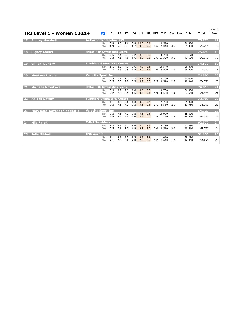|    | <b>TRI Level 1 - Women 13&amp;14</b> |                                       | P <sub>2</sub> | E1         | E <sub>2</sub> | E3         | E4         | H1                   |            | H <sub>2</sub> Diff | ToF                  | Bon Pen | Sub              | Total  | Page 2<br>Posn |
|----|--------------------------------------|---------------------------------------|----------------|------------|----------------|------------|------------|----------------------|------------|---------------------|----------------------|---------|------------------|--------|----------------|
| 17 | <b>Audrey Marshall</b>               | <b>Airborne Trampoline KW</b>         |                |            |                |            |            |                      |            |                     |                      |         |                  | 75.770 | 17             |
|    |                                      |                                       | Set<br>Vol     | 7.9<br>6.9 | 8.0<br>6.5     | 7.6<br>6.4 | 6.7        | 7.9 10.0 10.0<br>9.6 | 9.7        | 3.6                 | 10.580<br>9.340      | 3.6     | 36.380<br>39.390 | 75.770 | 17             |
| 18 | <b>Signey Karker</b>                 | <b>Halton Hills Gymnastics Centre</b> |                |            |                |            |            |                      |            |                     |                      |         |                  | 75.690 | 18             |
|    |                                      |                                       | Set<br>Vol     | 7.5<br>7.3 | 7.4<br>7.1     | 7.4<br>7.0 | 7.2<br>6.6 | 8.6<br>8.9           | 8.7<br>8.9 |                     | 10.720<br>3.6 11.320 | 3.6     | 34.170<br>41.520 | 75.690 | 18             |
| 19 | <b>Gillian Dunphy</b>                | <b>Tumblers Gymnastics Centre</b>     |                |            |                |            |            |                      |            |                     |                      |         |                  | 74.570 | 19             |
|    |                                      |                                       | Set<br>Vol     | 8.1<br>7.2 | 8.0<br>6.8     | 7.7<br>6.9 | 7.6<br>6.9 | 9.8<br>9.6           | 9.8<br>9.6 | 2.6                 | 10.570<br>9.900      | 2.6     | 36.070<br>38.500 | 74.570 | 19             |
| 20 | <b>Montana Liscum</b>                | <b>Velocity Sport Inc.</b>            |                |            |                |            |            |                      |            |                     |                      |         |                  | 74.500 | 20             |
|    |                                      |                                       | Set<br>Vol     | 7.3<br>7.5 | 7.1<br>7.6     | 7.1<br>7.2 | 7.2<br>7.3 | 9.9<br>9.7           | 9.9<br>9.7 |                     | 10.260<br>2.5 10.540 | 2.5     | 34,460<br>40.040 | 74.500 | 20             |
| 21 | <b>Michelle Novakova</b>             | <b>Halton Hills Gymnastics Centre</b> |                |            |                |            |            |                      |            |                     |                      |         |                  | 74.010 | 21             |
|    |                                      |                                       | Set<br>Vol     | 7.9<br>7.2 | 8.2<br>7.0     | 7.9<br>6.5 | 8.0<br>6.5 | 9.8<br>9.8           | 9.7<br>9.8 |                     | 10.700<br>1.9 10.560 | 1.9     | 36.350<br>37.660 | 74.010 | 21             |
| 22 | <b>Abigail Downy</b>                 | <b>Tumblers Gymnastics Centre</b>     |                |            |                |            |            |                      |            |                     |                      |         |                  | 73.900 | 22             |
|    |                                      |                                       | Set<br>Vol     | 8.1<br>7.3 | 8.2<br>7.3     | 7.6<br>7.2 | 8.3<br>7.3 | 9.8<br>9.6           | 9.9<br>9.6 | 2.1                 | 9.770<br>9.580       | 2.1     | 35.920<br>37.980 | 73.900 | 22             |
| 23 | Mary Kate Kayanagh Kapparis          | <b>Velocity Sport Inc.</b>            |                |            |                |            |            |                      |            |                     |                      |         |                  | 64.320 | 23             |
|    |                                      |                                       | Set<br>Vol     | 7.3<br>4.9 | 7.5<br>4.5     | 7.2<br>4.6 | 7.5<br>4.4 | 9.6<br>6.3           | 9.6<br>6.3 |                     | 10.990<br>2.9 7.730  | 2.9     | 35.390<br>28.930 | 64.320 | 23             |
| 24 | <b>Nila Parekh</b>                   | <b>T-Dot Tumblers</b>                 |                |            |                |            |            |                      |            |                     |                      |         |                  | 62.570 | 24             |
|    |                                      |                                       | Set<br>Vol     | 4.7<br>7.5 | 4.7<br>7.1     | 4.1<br>7.3 | 4.6<br>6.9 | 5.9<br>9.7           | 5.9<br>9.7 |                     | 6.760<br>3.0 10.510  | 3.0     | 21.960<br>40.610 | 62.570 | 24             |
| 25 | <b>Julia Mikhail</b>                 | <b>KSG Aurora</b>                     |                |            |                |            |            |                      |            |                     |                      |         |                  | 51.130 | 25             |
|    |                                      |                                       | Set<br>Vol     | 8.1<br>2.1 | 8.8<br>2.2     | 8.5<br>2.0 | 8.3<br>2.0 | 9.8<br>2.7           | 9.9<br>2.7 | 1.2                 | 11.640<br>3.640      | 1.2     | 38.290<br>12.840 | 51.130 | 25             |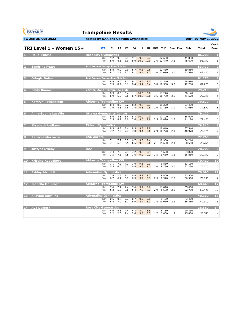| <b>GYMNASTICS</b><br><b>ONTARIO</b><br><b>SPORT STARTS HERE</b> | <b>Trampoline Results</b>               |                |            |                |            |            |                            |            |                     |                      |         |                  |                 |                 |
|-----------------------------------------------------------------|-----------------------------------------|----------------|------------|----------------|------------|------------|----------------------------|------------|---------------------|----------------------|---------|------------------|-----------------|-----------------|
| TG 2nd ON Cup 2022                                              | hosted by OAA and Oakville Gymnastics   |                |            |                |            |            |                            |            |                     |                      |         |                  | April 29-May 1, | 2022            |
| TRI Level 1 - Women 15+                                         |                                         | P <sub>2</sub> | E1         | E <sub>2</sub> | E3         | E4         | H1                         |            | H <sub>2</sub> Diff | <b>ToF</b>           | Bon Pen | Sub              | <b>Total</b>    | Page 1<br>Posn  |
| <b>Hallé Mitchell</b>                                           | <b>Rose City Gymnastics</b>             |                |            |                |            |            |                            |            |                     |                      |         |                  | 86.700          | и               |
|                                                                 |                                         | Set<br>Vol     | 9.2<br>8.0 | 9.5<br>8.1     | 9.4<br>8.0 | 9.1        | 9.8<br>8.0 10.0 10.0       | 9.7        |                     | 12.680<br>3.6 12.470 | 3.6     | 41.030<br>45.670 | 86.700          | 1               |
| <b>Sandrine Pozos</b>                                           | <b>Just Bounce Trampoline Club Inc.</b> |                |            |                |            |            |                            |            |                     |                      |         |                  | 83.470          | 2               |
|                                                                 |                                         | Set<br>Vol     | 8.8<br>8.1 | 9.0<br>7.8     | 9.0<br>8.3 | 8.7<br>8.1 | 9.6<br>9.4                 | 9.6<br>9.2 |                     | 12.480<br>3.0 12.090 | 3.0     | 39.880<br>43.590 | 83.470          | $\overline{2}$  |
| Orlagh Dolan<br>в                                               | <b>Just Bounce Trampoline Club Inc.</b> |                |            |                |            |            |                            |            |                     |                      |         |                  | 81.270          | в               |
|                                                                 |                                         | Set<br>Vol     | 8.9<br>7.9 | 9.0<br>8.2     | 9.1<br>8.1 | 9.1<br>8.4 | 9.6<br>9.4                 | 9.5<br>9.4 |                     | 11.340<br>3.0 10.580 | 3.0     | 38.990<br>42.280 | 81.270          | 3               |
| <b>Emily Rimmer</b>                                             | <b>Vertical Zone Trampoline Club</b>    |                |            |                |            |            |                            |            |                     |                      |         |                  | 79.710          | 4               |
|                                                                 |                                         | Set<br>Vol     | 8.3<br>6.9 | 8.8<br>6.9     | 8.4<br>6.6 |            | 10.0 10.0<br>6.7 10.0 10.0 |            |                     | 11.240<br>3.6 10.770 | 3.6     | 38.140<br>41.570 | 79.710          | $\overline{4}$  |
| <b>Kamryn Rattansingh</b><br>5                                  | <b>Airborne Trampoline KW</b>           | Set            | 8.4        | 8.3            | 8.2        | 8.2        | 9.7                        | 9.7        |                     | 11.290               |         | 37.490           | 79.570          | -5              |
|                                                                 |                                         | Vol            | 7.6        | 8.3            | 7.6        | 7.4        | 9.6                        | 9.8        |                     | 3.0 11.180           | 3.0     | 42.080           | 79.570          | 5               |
| <b>Anne-Sophie Lacaille</b><br>6                                | <b>Ottawa Gymnastics Centre</b>         | Set            | 8.6        | 8.5            | 8.4        |            | 8.3 10.0 10.0              |            |                     | 11.100               |         | 38.000           | 79.120          | $6\phantom{1}6$ |
|                                                                 |                                         | Vol            | 7.5        | 8.2            | 8.0        | 7.6        | 9.6                        | 9.8        |                     | 2.5 10.820           | 2.5     | 41.120           | 79.120          | 6               |
| <b>Elisabeth Antifave</b>                                       | <b>Rideau Gymnastics</b>                | Set            | 8.3        | 8.8            | 8.4        | 8.3        | 9.8                        | 9.8        |                     | 10.840               |         | 37.340           | 78.310          |                 |
|                                                                 |                                         | Vol            | 7.2        | 7.9            | 7.7        | 7.0        | 9.4                        | 9.6        |                     | 2.9 10.770           | 2.9     | 40.970           | 78.310          | $\overline{z}$  |
| <b>Rebecca Mazzocco</b><br>8                                    | <b>KSG Aurora</b>                       | Set            | 7.1        | 7.2            | 6.7        | 6.7        | 9.5                        | 9.4        |                     | 10.960               |         | 34.210           | 72.760          | 8               |
|                                                                 |                                         | Vol            | 7.1        | 6.6            | 6.5        | 6.5        | 9.6                        | 9.6        |                     | 2.1 11.650           | 2.1     | 38.550           | 72.760          | 8               |
| <b>Justyna Sweny</b><br>9                                       | <b>OAA</b>                              | Set            | 7.4        | 7.5            | 7.3        | 7.2        | 9.6                        | 9.4        |                     | 9.620                |         | 33.820           | 70.700          | 9               |
|                                                                 |                                         | Vol            | 7.5        | 7.3            | 7.5        | 7.6        | 9.2                        | 9.2        | 1.5                 | 9.680                | 1.5     | 36.880           | 70.700          | 9               |
| 10 Kristina Kobyakova                                           | <b>Airborne Trampoline KW</b>           | Set            | 7.1        | 7.2            | 7.1        | 7.0        | 9.1                        | 9.1        |                     | 9.830                |         | 33.130           | 70.410          | 10              |
|                                                                 |                                         | Vol            | 5.5        | 6.0            | 6.2        | 6.8        | 9.3                        | 9.3        | 3.0                 | 9.780                | 3.0     | 37.280           | 70.410          | 10              |
| <b>Ashley Alshubil</b><br>11                                    | <b>Adrenaline Gymnastics</b>            | Set            |            | 7.4            | 7.1        | 6.8        | 9.2                        | 9.2        |                     | 9.800                |         | 33.500           | 70.090          | 11              |
|                                                                 |                                         | Vol            | 7.8<br>6.7 | 6.4            | 6.7        | 6.9        | 9.2                        | 9.3        | 2.5                 | 8.940                | 2.5     | 36.590           | 70.090          | 11              |
| <b>Isabella McIntosh</b><br>$12 \overline{ }$                   | <b>Airborne Trampoline KW</b>           | Set            | 7.6        | 7.4            | 7.4        | 7.6        | 9.7                        | 9.6        |                     | 11.010               |         | 35.660           | 68.440          | 12              |
|                                                                 |                                         | Vol            | 5.3        | 5.9            | 5.6        | 5.4        | 7.3                        | 7.3        | 2.9                 | 8.680                | 2.9     | 32.780           | 68.440          | 12              |
| <b>Akavlah Dawkins</b><br><b>13</b>                             | <b>Adrenaline Gymnastics</b>            | Set            | 0.6        | 0.7            | 0.7        | 0.7        | 0.9                        | 0.9        |                     | 1.150                |         |                  | 40.310          | 13              |
|                                                                 |                                         | Vol            | 6.8        | 7.0            | 6.7        | 6.9        | 8.4                        | 8.3        |                     | 2.4 10.010           | 2.4     | 3.450<br>36.860  | 40.310          | 13              |
| 14 Ava Deklerk                                                  | <b>Rose City Gymnastics</b>             | Set            | 4.6        | 4.3            | 4.4        | 4.3        | 5.9                        | 5.8        |                     | 6.180                |         | 20.730           | 36.580          | 14              |
|                                                                 |                                         | Vol            | 2.2        | 2.5            | 2.4        | 2.6        | 3.8                        | 3.7        | 1.7                 | 3.800                | 1.7     | 15.850           | 36.580          | 14              |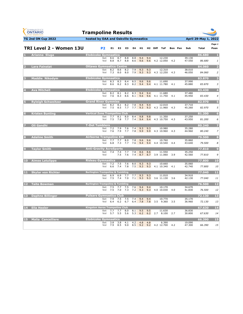| <b>GYMNASTICS</b><br><b>ONTARIO</b><br><b>SPORT STARTS HERE</b> | <b>Trampoline Results</b>                   |                |            |                |            |            |            |            |     |                         |         |                  |                 |                |
|-----------------------------------------------------------------|---------------------------------------------|----------------|------------|----------------|------------|------------|------------|------------|-----|-------------------------|---------|------------------|-----------------|----------------|
| <b>TG 2nd ON Cup 2022</b>                                       | hosted by OAA and Oakville Gymnastics       |                |            |                |            |            |            |            |     |                         |         |                  | April 29-May 1, | 2022           |
| TRI Level 2 - Women 13U                                         |                                             | P <sub>2</sub> | E1         | E <sub>2</sub> | E3         | E4         | H1.        |            |     | H <sub>2</sub> Diff ToF | Bon Pen | Sub              | Total           | Page 1<br>Posn |
| Arianna Sluga                                                   | <b>Etobicoke Gymnastics</b>                 |                |            |                |            |            |            |            |     |                         |         |                  | 86.680          | л              |
|                                                                 |                                             | Set<br>Vol     | 8.6<br>8.8 | 8.7<br>8.7     | 8.8<br>8.8 | 8.8<br>8.6 | 9.4<br>9.6 | 9.4<br>9.6 |     | 12.230<br>4.2 12.050    | 4.2     | 39.130<br>47.550 | 86.680          | 1              |
| <b>Lara Fainstat</b><br>$\overline{2}$                          | <b>Ottawa Gymnastics Centre</b>             | Set            | 8.2        | 8.6            | 8.2        | 7.9        | 9.3        | 9.3        |     | 12.310                  |         | 38.010           | 84.060          | -2             |
|                                                                 |                                             | Vol            | 7.3        | 8.0            | 8.0        | 7.9        | 9.3        | 9.3        |     | 4.3 12.250              | 4.3     | 46.050           | 84.060          | $\overline{2}$ |
| <b>Maddie Nikodym</b><br>В.                                     | <b>Etobicoke Gymnastics</b>                 |                |            |                |            |            |            |            |     |                         |         |                  | 83,870          | в              |
|                                                                 |                                             | Set<br>Vol     | 8.3<br>8.6 | 8.3<br>8.2     | 8.4<br>8.3 | 8.5<br>8.2 | 9.6<br>9.4 | 9.6<br>9.4 |     | 11.690<br>4.1 11.780    | 4.1     | 37.990<br>45.880 | 83.870          | 3              |
| <b>Ava Mitchell</b><br>4                                        | <b>Etobicoke Gymnastics</b>                 |                |            |                |            |            |            |            |     |                         |         |                  | 83.430          | 4              |
|                                                                 |                                             | Set<br>Vol     | 8.2<br>7.6 | 8.1<br>8.3     | 8.2<br>8.6 | 8.3<br>8.1 | 9.4<br>9.6 | 9.4<br>9.6 |     | 11.680<br>4.1 11.750    | 4.1     | 37.480<br>45.950 | 83.430          | $\overline{4}$ |
| <b>Ryleigh Schweitzer</b><br>5                                  | <b>Grand River Gymmies</b>                  | Set            | 8.2        | 8.1            | 8.2        | 7.8        | 9.4        | 9.4        |     | 12.010                  |         | 37.710           | 82.970          | 5              |
|                                                                 |                                             | Vol            | 7.5        | 8.5            | 7.7        | 7.7        | 9.3        | 9.3        |     | 4.3 11.960              | 4.3     | 45.260           | 82.970          | 5              |
| <b>Kristen Bunting</b><br>6                                     | <b>Vertical Zone Trampoline Club</b>        |                |            |                |            |            |            |            |     |                         |         |                  | 81.200          | 6              |
|                                                                 |                                             | Set<br>Vol     | 7.7<br>7.5 | 8.1<br>7.8     | 8.0<br>7.7 | 8.4<br>7.4 | 9.8<br>9.4 | 9.8<br>9.4 |     | 11.350<br>4.3 10.750    | 4.3     | 37.250<br>43.950 | 81.200          | 6              |
| <b>Oli Gandhi</b>                                               | <b>T-Dot Tumblers</b>                       |                |            |                |            |            |            |            |     |                         |         |                  | 80.240          | 7              |
|                                                                 |                                             | Set<br>Vol     | 7.2<br>7.6 | 7.9<br>7.9     | 7.6<br>7.7 | 7.4<br>7.8 | 9.3<br>9.9 | 9.3<br>9.9 |     | 10.980<br>4.3 10.960    | 4.3     | 35.280<br>44.960 | 80.240          | $\overline{z}$ |
| <b>Adaline Smith</b>                                            | <b>Airborne Trampoline KW</b>               |                |            |                |            |            |            |            |     |                         |         |                  | 79.500          | 8              |
|                                                                 |                                             | Set<br>Vol     | 7.7<br>6.8 | 7.7<br>7.3     | 8.0<br>7.7 | 7.8<br>7.6 | 9.6<br>9.4 | 9.6<br>9.4 |     | 10.760<br>4.4 10.540    | 4.4     | 35.860<br>43.640 | 79.500          | 8              |
| <b>Taylor Smith</b>                                             | <b>Anti-Gravity AcroSports</b>              | Set            | 7.4        | 7.4            | 7.7        | 7.8        | 8.6        | 8.6        |     | 11.550                  |         | 35.250           | 77.810          | 9              |
|                                                                 |                                             | Vol            |            | 7.5            | 7.6        | 7.4        | 8.7        | 8.7        |     | 3.9 11.060              | 3.9     | 42.560           | 77.810          | 9              |
| 10 Aimee Latulippe                                              | <b>Rideau Gymnastics</b>                    | Set            | 7.2        | 7.5            | 7.6        | 8.0        | 9.3        | 9.3        |     | 10.660                  |         | 35.060           | 77.800          | 10             |
|                                                                 |                                             | Vol            | 6.6        | 7.4            | 7.8        | 7.5        | 9.3        | 9.3        |     | 4.1 10.340              | 4.1     | 42.740           | 77.800          | 10             |
| 11 Skylar von Richter                                           | <b>Burlington Trampoline &amp; Tumbling</b> |                |            |                |            |            |            |            |     |                         |         |                  | 77.040          | 11             |
|                                                                 |                                             | Set<br>Vol     | 6.9<br>7.5 | 6.9<br>7.4     | 7.7<br>7.0 | 7.7<br>7.1 | 9.3<br>9.3 | 9.3<br>9.3 |     | 11.010<br>3.6 11.130    | 3.6     | 34.910<br>42.130 | 77.040          | 11             |
| 12 <sub>1</sub><br><b>Taite Bowman</b>                          | <b>Burlington Trampoline &amp; Tumbling</b> | Set            | 7.5        | 7.7            | 7.5        | 7.6        | 9.4        | 9.4        |     | 10.170                  |         | 34.670           | 76.500          | 12             |
|                                                                 |                                             | Vol            | 7.5        | 7.0            | 7.3        | 7.2        | 9.3        | 9.3        |     | 4.0 10.030              | 4.0     | 41.830           | 76.500          | 12             |
| 13 Daphne Billinger                                             | <b>Pulsars Gymnastics Club</b>              |                |            |                |            |            |            |            |     |                         |         |                  | 72.130          | 13             |
|                                                                 |                                             | Set<br>Vol     | 7.9<br>6.4 | 7.5<br>6.2     | 7.5<br>6.7 | 7.4<br>6.4 | 9.4<br>7.8 | 9.4<br>7.8 | 3.5 | 10.770<br>9.360         | 3.5     | 35.170<br>36.960 | 72.130          | 13             |
| 14 Ella Heeler                                                  | <b>Kingston Aeros Trampoline Club</b>       | Set            | 7.7        | 7.7            | 8.0        | 8.1        | 9.5        | 9.5        |     | 11.630                  |         | 36.830           | 67.630          | 14             |
|                                                                 |                                             | Vol            | 5.7        | 5.5            | 5.6        | 5.3        | 6.2        | 6.2        |     | 2.7 8.100               | 2.7     | 30.800           | 67.630          | 14             |
| <b>15 Malia Cancelliere</b>                                     | <b>Etobicoke Gymnastics</b>                 | Set            | 3.8        | 3.8            | 4.1        | 4.2        | 4.8        | 4.8        |     | 6.390                   |         | 19.090           | 66.390          | 15             |
|                                                                 |                                             | Vol            | 7.9        | 8.5            | 9.0        | 8.5        | 9.2        | 9.2        |     | 4.2 12.700              | 4.2     | 47.300           | 66.390          | 15             |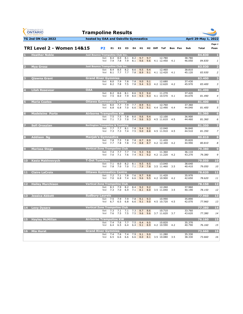| <b>GYMNASTICS</b><br><b>ONTARIO</b><br><b>SPORT STARTS HERE</b> | <b>Trampoline Results</b> |                                                           |                    |                |            |                  |                       |            |                     |                              |         |                  |                  |                                  |
|-----------------------------------------------------------------|---------------------------|-----------------------------------------------------------|--------------------|----------------|------------|------------------|-----------------------|------------|---------------------|------------------------------|---------|------------------|------------------|----------------------------------|
| <b>TG 2nd ON Cup 2022</b>                                       |                           | hosted by OAA and Oakville Gymnastics                     |                    |                |            |                  |                       |            |                     |                              |         |                  | April 29-May 1,  | 2022                             |
| TRI Level 2 - Women 14&15                                       |                           | P <sub>2</sub>                                            | E1.                | E <sub>2</sub> | E3         | E4               | H1                    |            | H <sub>2</sub> Diff | ToF                          | Bon Pen | Sub              | Total            | Page 1<br>Posn                   |
| <b>Heather Noble</b>                                            |                           | <b>Just Bounce Trampoline Club Inc.</b><br>Set<br>Vol     | 8.4<br>7.9         | 8.0<br>7.8     | 8.1<br>7.9 | 8.2<br>8.1       | 9.7<br>9.6            | 9.7<br>9.6 |                     | 12.780<br>4.1 12.450         | 4.1     | 38.780<br>46.050 | 84,830<br>84.830 | 1                                |
| <b>Mya Grosz</b>                                                |                           | <b>Just Bounce Trampoline Club Inc.</b><br>Set<br>Vol     | 8.4<br>8.1         | 8.5<br>7.7     | 8.2<br>7.7 | 8.6<br>7.8       | 9.5<br>8.9            | 9.4<br>9.1 |                     | 12.460<br>4.1 12.420         | 4.1     | 38.810<br>45.120 | 83,930<br>83.930 | $\overline{2}$<br>$\overline{z}$ |
| <b>Qiawna Grant</b><br>в                                        |                           | <b>Grand River Gymmies</b><br>Set<br>Vol                  | 8.0<br>8.2         | 7.9<br>7.8     | 7.8<br>7.5 | 7.8<br>7.8       | 9.0<br>9.4            | 9.1<br>9.3 |                     | 12.680<br>4.2 12.620         | 4.2     | 37.430<br>45.970 | 83.400<br>83.400 | 3<br>3                           |
| <b>Lilah Rosevear</b>                                           | <b>OAA</b>                | Set<br>Vol                                                | 8.2<br>7.5         | 8.6<br>8.0     | 8.1<br>7.9 | 8.6<br>8.0       | 9.3<br>9.5            | 9.4<br>9.3 |                     | 11.270<br>4.1 10.570         | 4.1     | 37.420<br>44.070 | 81.490<br>81.490 | $\overline{4}$<br>4              |
| <b>Maria Coates</b>                                             |                           | <b>Ottawa Gymnastics Centre</b><br>Set<br>Vol             | 8.0<br>6.8         | 7.7<br>6.8     | 7.9<br>7.0 | 7.7<br>6.6       | 8.9<br>9.2            | 9.1<br>9.1 |                     | 12.760<br>4.4 12.490         | 4.4     | 37.360<br>44.040 | 81.400<br>81.400 | 5<br>5                           |
| <b>Madeleine Porto</b>                                          |                           | <b>Airborne Trampoline KW</b><br>Set<br>Vol               | 7.5<br>7.1         | 7.5<br>7.3     | 7.8<br>7.0 | 8.0<br>7.4       | 9.6<br>9.6            | 9.4<br>9.3 |                     | 12.100<br>4.5 11.610         | 4.5     | 36.900<br>44.460 | 81.360<br>81.360 | $6\phantom{1}$<br>6              |
| Sofi Oroszlan                                                   |                           | <b>Burlington Trampoline &amp; Tumbling</b><br>Set<br>Vol | 7.7<br>7.3         | 7.7<br>7.3     | 8.1<br>7.4 | 7.8<br>7.5       | 9.4<br>9.0            | 9.2<br>8.8 |                     | 12.040<br>4.5 11.910         | 4.5     | 36.840<br>44.510 | 81.350<br>81.350 | 7<br>$\overline{z}$              |
| <b>Addison Ng</b><br>8                                          |                           | <b>Manjak's Gymnastics</b><br>Set<br>Vol                  | 7.8<br>7.7         | 7.5<br>7.8     | 7.8<br>7.8 | 7.8<br>7.4       | 8.7<br>8.8            | 8.9<br>8.7 |                     | 11.420<br>4.2 12.340         | 4.2     | 35.820<br>44.990 | 80.810<br>80.810 | 8<br>8                           |
| <b>Marissa Stege</b><br>9                                       |                           | <b>Vertical Zone Trampoline Club</b><br>Set               | 7.4                | 7.7            | 7.7        | 7.6              | 9.3                   | 9.6        |                     | 11.360                       |         | 36.110           | 79.380           | 9                                |
| <b>Kasia Makhnevych</b><br><b>10</b>                            |                           | Vol<br><b>T-Dot Tumblers</b><br>Set                       | 7.0<br>7.1         | 7.1<br>8.0     | 7.6<br>8.2 | 7.4<br>8.1       | 9.1<br>9.5            | 9.2<br>9.5 |                     | 4.2 11.220<br>13.040         | 4.2     | 43.270<br>38.640 | 79.380<br>79.050 | 9<br>10                          |
| <b>Claire LaCroix</b><br>11                                     |                           | Vol<br><b>Ottawa Gymnastics Centre</b><br>Set             | 7.8<br>7.2         | 7.0<br>7.1     | 7.0<br>7.8 | 7.1<br>7.6       | 7.9<br>9.7            | 7.8<br>9.8 |                     | 3.5 11.460<br>11.420         | 3.5     | 40.410<br>35.970 | 79.050<br>78.620 | 10<br>11                         |
| 12<br><b>Hailey Murchison</b>                                   |                           | Vol<br><b>Vertical Zone Trampoline Club</b>               | 7.0                | 6.8            | 7.4        | 6.6              | 9.6                   | 9.5        |                     | 4.2 10.900                   | 4.2     | 42.650           | 78.620<br>78.150 | 11<br>12                         |
| Jessica Abbott<br>13                                            |                           | Set<br>Vol<br><b>Sudbury Laurels</b>                      | 8.3<br>7.3         | 7.9<br>7.0     | 8.2<br>6.9 | 8.4<br>7.1       | 9.2<br>8.1            | 9.2<br>8.0 |                     | 12.260<br>3.5 11.040         | 3.5     | 37.960<br>40.190 | 78.150<br>77.960 | 12<br>13                         |
|                                                                 |                           | Set<br>Vol                                                | 7.5<br>6.7         | 7.9<br>6.5     | 7.9<br>6.8 | 7.8<br>6.6       | 9.1<br>9.1            | 9.3<br>9.0 |                     | 10.990<br>4.5 10.720         | 4.5     | 35.890<br>42.070 | 77.960           | 13                               |
| 14 Lexy Dysarz                                                  |                           | <b>Vertical Zone Trampoline Club</b>                      | Set 7.3<br>Vol 7.6 | 7.1<br>7.5     | 7.1<br>7.5 | 7.3<br>7.5       | 8.7<br>9.6            | 8.6        |                     | 10.710<br>9.6 3.7 11.620 3.7 |         | 33.760<br>43.620 | 77.380<br>77.380 | 14<br>14                         |
| 15 Hayley McMillan                                              |                           | <b>Airborne Trampoline KW</b><br>Set<br>Vol               | 7.4<br>6.4         | 7.6<br>6.5     | 7.7<br>6.4 | $7.5$ 9.4<br>6.4 | 9.1                   | 9.5<br>8.9 |                     | 10.820<br>4.2 10.590         | 4.2     | 35.370<br>40.790 | 76.160<br>76.160 | 15<br>15                         |
| 16 Mia Hurst                                                    |                           | <b>Grand River Gymmies</b><br>Set                         | 7.4<br>Vol 6.5     | 7.6<br>6.6     | 7.4<br>6.6 | 7.9              | 9.1<br>$6.6\quad 8.0$ | 9.0<br>8.1 |                     | 11.280<br>3.5 10.080 3.5     |         | 35.330<br>38.330 | 73.660<br>73.660 | 16<br>16                         |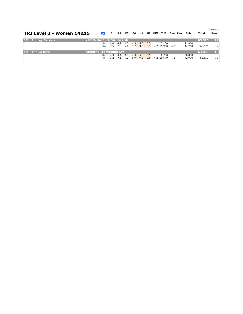|                 | <b>TRI Level 2 - Women 14&amp;15</b> | P2                                   | E1.                         | E2 E3   |     | <b>E4</b> |         |     | H1 H2 Diff ToF |                  |     | Bon Pen | Sub    | Total  | Page 2<br>Posn  |
|-----------------|--------------------------------------|--------------------------------------|-----------------------------|---------|-----|-----------|---------|-----|----------------|------------------|-----|---------|--------|--------|-----------------|
| 17 <sup>2</sup> | <b>Audrey Gervais</b>                | <b>Vertical Zone Trampoline Club</b> |                             |         |     |           |         |     |                |                  |     |         |        | 65.820 | 17 <sup>2</sup> |
|                 |                                      | Set                                  | 4.0                         | 4.2     | 4.2 | 4.3       | 5.5 5.5 |     |                | 7.160            |     |         | 21.060 |        |                 |
|                 |                                      |                                      | Vol 7.5 7.5 7.8 7.7 9.5 8.9 |         |     |           |         |     |                | 4.2 11.960       | 4.2 |         | 44.760 | 65.820 | 17              |
| 18              | <b>Annika Best</b>                   | <b>Airborne Trampoline KW</b>        |                             |         |     |           |         |     |                |                  |     |         |        | 63.850 | 18              |
|                 |                                      | Set                                  | 4.3                         | 4.4     | 4.3 | 4.3       | 5.6     | 5.5 |                | 6.730            |     |         | 20.880 |        |                 |
|                 |                                      | Vol                                  | 7.2                         | 7.1 7.3 |     | 6.9       | $-9.6$  |     |                | $9.6$ 4.2 10.670 | 4.2 |         | 42.970 | 63.850 | 18              |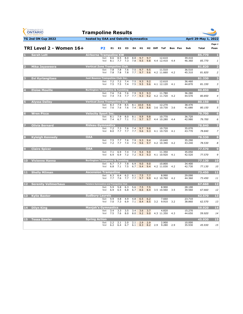| <b>GYMNASTICS</b><br><b>ONTARIO</b><br><b>SPORT STARTS HERE</b> | <b>Trampoline Results</b>                      |                |            |                |                |            |            |            |     |                         |         |                  |                 |                |
|-----------------------------------------------------------------|------------------------------------------------|----------------|------------|----------------|----------------|------------|------------|------------|-----|-------------------------|---------|------------------|-----------------|----------------|
| <b>TG 2nd ON Cup 2022</b>                                       | hosted by OAA and Oakville Gymnastics          |                |            |                |                |            |            |            |     |                         |         |                  | April 29-May 1, | 2022           |
| TRI Level 2 - Women 16+                                         |                                                | P <sub>2</sub> | E1         | E <sub>2</sub> | E <sub>3</sub> | E4         | H1         |            |     | H <sub>2</sub> Diff ToF | Bon Pen | Sub              | Total           | Page 1<br>Posn |
| <b>Sarah Lott</b>                                               | <b>Airborne Trampoline KW</b>                  |                |            |                |                |            |            |            |     |                         |         |                  | 85.770          | л              |
|                                                                 |                                                | Set<br>Vol     | 8.6<br>8.1 | 8.5<br>7.7     | 8.0<br>7.3     | 8.8<br>7.8 | 9.7<br>9.5 | 9.7<br>9.8 |     | 12.610<br>4.4 12.410    | 4.4     | 39.410<br>46.360 | 85.770          | 1              |
| <b>Mika Jayaweera</b><br>$\overline{2}$                         | <b>Vertical Zone Trampoline Club</b>           | Set            | 7.8        | 7.8            | 7.6            | 7.5        | 9.7        | 9.5        |     | 11.510                  |         | 36.510           | 81,820          | -2             |
|                                                                 |                                                | Vol            | 7.8        | 7.8            | 7.8            | 7.7        | 9.7        | 9.6        |     | 4.2 11.660              | 4.2     | 45.310           | 81.820          | $\overline{2}$ |
| <b>Evi Kyrlangitses</b><br>в                                    | <b>Just Bounce Trampoline Club Inc.</b>        |                |            |                |                |            |            |            |     |                         |         |                  | 81.330          | в              |
|                                                                 |                                                | Set<br>Vol     | 7.2<br>7.5 | 7.2<br>7.5     | 7.4<br>7.4     | 7.5<br>7.5 | 9.3<br>9.5 | 9.2<br>9.6 |     | 12.610<br>4.1 12.120    | 4.1     | 36.460<br>44.870 | 81.330          | 3              |
| <b>Eloise Mouille</b>                                           | <b>Burlington Trampoline &amp; Tumbling</b>    |                |            |                |                |            |            |            |     |                         |         |                  | 80.850          | 4              |
|                                                                 |                                                | Set<br>Vol     | 7.6<br>7.4 | 7.6<br>7.5     | 7.6<br>7.7     | 7.9<br>7.7 | 9.3<br>9.3 | 9.3<br>9.2 |     | 11.780<br>4.2 11.720    | 4.2     | 36.280<br>44.570 | 80.850          | $\overline{4}$ |
| <b>Alyssa Dalley</b>                                            | <b>Vertical Zone Trampoline Club</b>           | Set            | 8.3        | 7.9            | 8.5            |            | 8.1 10.0   | 9.6        |     | 12.270                  |         | 38.470           | 80.150          | 5              |
|                                                                 |                                                | Vol            | 7.6        | 7.6            | 7.6            | 7.4        | 8.5        | 8.6        |     | 3.6 10.730              | 3.6     | 41.680           | 80.150          | 5              |
| <b>Wren Picco</b><br>6                                          | <b>Velocity Sport Inc.</b>                     |                |            |                |                |            |            |            |     |                         |         |                  | 79.700          | 6              |
|                                                                 |                                                | Set<br>Vol     | 8.1<br>7.4 | 7.9<br>6.7     | 8.0<br>7.1     | 8.1<br>7.1 | 9.9<br>9.7 | 9.8<br>9.7 |     | 10.770<br>4.4 10.280    | 4.4     | 36.720<br>42.980 | 79.700          | 6              |
| <b>Olivia Bernard</b>                                           | <b>Rideau Gymnastics</b>                       | Set            |            |                |                |            |            | 9.6        |     |                         |         |                  | 78,840          | 7              |
|                                                                 |                                                | Vol            | 7.2<br>8.0 | 7.3<br>7.7     | 7.6<br>7.7     | 7.4<br>7.7 | 9.7<br>9.6 | 9.3        |     | 10.720<br>4.1 10.720    | 4.1     | 35.070<br>43.770 | 78.840          | $\overline{z}$ |
| <b>Kyleigh Kennedy</b><br>8                                     | <b>OAA</b>                                     | Set            | 7.5        | 7.7            | 7.6            | 7.9        | 9.3        | 9.4        |     | 10.640                  |         | 35.290           | 78.530          | 8              |
|                                                                 |                                                | Vol            | 7.2        | 7.7            | 7.4            | 7.4        | 9.6        | 9.7        |     | 4.2 10.390              | 4.2     | 43.240           | 78.530          | 8              |
| <b>Claire Spicer</b>                                            | <b>OAA</b>                                     | Set            | 7.1        | 6.9            | 7.4            | 7.4        | 9.4        | 9.0        |     | 11.350                  |         | 35.050           | 77.570          | 9              |
|                                                                 |                                                | Vol            | 6.9        | 6.9            | 7.2            | 7.2        | 9.3        | 9.3        |     | 4.1 10.920              | 4.1     | 42.520           | 77.570          | 9              |
| 10 Vivienne Hanna                                               | <b>Burlington Trampoline &amp; Tumbling</b>    | Set            | 6.7        | 7.7            | 7.8            | 6.9        | 9.0        | 9.0        |     | 10.800                  |         | 34.400           | 77.130          | 10             |
|                                                                 |                                                | Vol            | 6.8        | 7.1            | 7.5            | 6.7        | 9.4        | 9.4        |     | 4.2 11.030              | 4.2     | 42.730           | 77.130          | 10             |
| <b>Shelly Milman</b><br>11                                      | <b>Ascension Trampoline</b>                    | Set            | 6.3        | 6.4            | $6.2$          | 6.1        | 7.5        | 7.7        |     | 8.990                   |         | 29.090           | 73.450          | 11             |
|                                                                 |                                                | Vol            | 7.7        | 7.6            | 7.7            | 7.7        | 9.7        | 9.9        |     | 4.2 10.760              | 4.2     | 44.360           | 73.450          | 11             |
| <b>12 Serenity Vollmerhaus</b>                                  | <b>Twisters Gymnastics and Trampoline Club</b> | Set            | 5.9        | 5.8            | 6.3            | 5.6        | 7.5        | 7.5        |     | 8.900                   |         | 28.100           | 67.660          | 12             |
|                                                                 |                                                | Vol            | 6.9        | 6.5            | 6.8            | 6.7        | 8.6        | 8.4        |     | 3.5 10.560              | 3.5     | 39.560           | 67.660          | 12             |
| 13 Kylie Baxter                                                 | <b>Sudbury Laurels</b>                         | Set            | 4.9        | 4.8            | 4.9            | 4.8        | 6.5        | 6.2        |     | 7.660                   |         | 23.710           | 62.570          | 13             |
|                                                                 |                                                | Vol            | 7.0        | 7.3            | 6.9            | 7.1        | 8.4        | 8.5        | 3.2 | 9.910                   | 3.2     | 38.860           | 62.570          | 13             |
| 14 Dilyn King                                                   | <b>Manjak's Gymnastics</b>                     | Set            |            |                | 3.5            | 3.4        |            | 3.7        |     | 4.820                   |         | 15.270           | 59.920          | 14             |
|                                                                 |                                                | Vol            | 3.4<br>7.5 | 3.3<br>7.6     | 8.0            | 8.0        | 3.6<br>9.2 | 9.0        |     | 4.3 11.350              | 4.3     | 44.650           | 59.920          | 14             |
| 15 Tessa Sawler                                                 | <b>Spring Action</b>                           | Set            | 2.2        | 2.1            | 2.0            | 2.1        | 2.9        | 2.9        |     | 2.900                   |         | 10.000           | 45,930          | 15             |
|                                                                 |                                                | Vol            | 6.2        | 6.4            | 6.7            | 6.1        | 8.3        | 8.2        |     | 2.9 9.280               | 2.9     | 35.930           | 45.930          | 15             |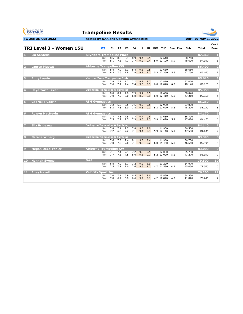|                      | <b>GYMNASTICS</b><br>ONTARIO<br><b>SPORT STARTS HERE</b> | <b>Trampoline Results</b>                   |                |            |                |            |            |            |            |                      |         |                  |                      |                         |
|----------------------|----------------------------------------------------------|---------------------------------------------|----------------|------------|----------------|------------|------------|------------|------------|----------------------|---------|------------------|----------------------|-------------------------|
|                      | TG 2nd ON Cup 2022                                       | hosted by OAA and Oakville Gymnastics       |                |            |                |            |            |            |            |                      |         |                  | April 29-May 1, 2022 |                         |
|                      | TRI Level 3 - Women 15U                                  |                                             | P <sub>2</sub> | E1         | E <sub>2</sub> | E3         | E4         | H1.        |            | H2 Diff ToF          | Bon Pen | Sub              | <b>Total</b>         | Page 1<br>Posn          |
|                      | <b>Lia Sardelis</b>                                      | <b>Skyriders Trampoline Place</b>           |                |            |                |            |            |            |            |                      |         |                  | 87.360               | и.                      |
|                      |                                                          |                                             | Set<br>Vol     | 8.5<br>8.1 | 8.3<br>7.6     | 8.4<br>7.7 | 8.9<br>7.7 | 9.4<br>9.2 | 9.1<br>9.4 | 12.610<br>5.9 12.100 | 5.9     | 38.760<br>48.600 | 87.360               | $\mathbf{1}$            |
|                      | <b>Lauren Muscat</b>                                     | <b>Airborne Trampoline KW</b>               |                |            |                |            |            |            |            |                      |         |                  | 86.400               | $\overline{\mathbf{2}}$ |
|                      |                                                          |                                             | Set<br>Vol     | 8.4<br>8.3 | 7.9<br>7.6     | 8.1<br>7.8 | 8.4<br>7.8 | 9.5<br>9.2 | 9.5<br>9.2 | 12.650<br>5.3 12.350 | 5.3     | 38.650<br>47.750 | 86.400               | $\overline{2}$          |
| в                    | <b>Abby Laurin</b>                                       | <b>Vertical Zone Trampoline Club</b>        |                |            |                |            |            |            |            |                      |         |                  | 85,610               | з                       |
|                      |                                                          |                                             | Set<br>Vol     | 7.9<br>7.6 | 7.2<br>7.1     | 7.7<br>7.4 | 7.7<br>7.4 | 9.2<br>9.3 | 9.2<br>9.3 | 12.870<br>6.0 12.040 | 6.0     | 37.470<br>48.140 | 85.610               | 3                       |
|                      | <b>Hava Tartoussieh</b>                                  | <b>Burlington Trampoline &amp; Tumbling</b> |                |            |                |            |            |            |            |                      |         |                  | 85.350               | $\overline{4}$          |
|                      |                                                          |                                             | Set<br>Vol     | 8.0<br>7.0 | 8.1<br>7.2     | 7.8<br>7.0 | 7.9<br>6.8 | 9.4<br>8.9 | 9.5<br>8.9 | 12.690<br>6.0 12.410 | 6.0     | 38.040<br>47.310 | 85.350               | $\overline{4}$          |
| Б                    | <b>Gabrielle Cadrin</b>                                  | <b>AIM Gymnastics</b>                       |                |            |                |            |            |            |            |                      |         |                  | 85.250               | $\overline{5}$          |
|                      |                                                          |                                             | Set<br>Vol     | 7.2<br>8.3 | 6.8<br>7.5     | 7.5<br>8.0 | 7.6<br>7.8 | 9.2<br>9.3 | 9.5<br>9.1 | 12.980<br>5.3 12.620 | 5.3     | 37.030<br>48.220 | 85.250               | 5                       |
| 6                    | <b>Rowyn MacNevin</b>                                    | <b>AIM Gymnastics</b>                       |                |            |                |            |            |            |            |                      |         |                  | 84.170               | $6\phantom{1}$          |
|                      |                                                          |                                             | Set<br>Vol     | 7.7<br>7.5 | 7.5<br>7.2     | 7.8<br>7.5 | 7.7<br>7.3 | 9.7<br>9.5 | 9.6<br>9.3 | 11.650<br>5.9 11.470 | 5.9     | 36.700<br>47.470 | 84.170               | 6                       |
| 7                    | <b>Ella Brideaux</b>                                     | <b>Burlington Trampoline &amp; Tumbling</b> |                |            |                |            |            |            |            |                      |         |                  | 84.140               | 7                       |
|                      |                                                          |                                             | Set<br>Vol     | 7.8<br>7.2 | 7.1<br>6.8     | 7.7<br>7.2 | 7.8<br>7.1 | 9.3<br>9.4 | 9.0<br>9.3 | 11.900<br>5.9 12.140 | 5.9     | 36.550<br>47.590 | 84.140               | $\overline{z}$          |
| 8                    | <b>Natalie Wiberg</b>                                    | <b>Burlington Trampoline &amp; Tumbling</b> |                |            |                |            |            |            |            |                      |         |                  | 83,390               | 8                       |
|                      |                                                          |                                             | Set<br>Vol     | 7.6<br>7.0 | 7.8<br>7.2     | 7.4<br>7.0 | 8.1<br>7.1 | 9.3<br>9.0 | 9.4<br>9.2 | 11.980<br>6.0 11.460 | 6.0     | 36.730<br>46.660 | 83.390               | 8                       |
| $\vert \Omega \vert$ | <b>Megan DeLaFranier</b>                                 | Airborne Trampoline KW                      |                |            |                |            |            |            |            |                      |         |                  | 83.000               | 9                       |
|                      |                                                          |                                             | Set<br>Vol     | 7.1<br>7.7 | 7.1<br>7.5     | 7.4<br>7.5 | 7.2<br>8.0 | 9.3<br>9.6 | 9.5<br>9.7 | 12.030<br>5.2 12.020 | 5.2     | 35.730<br>47.270 | 83.000               | 9                       |
| 10                   | <b>Hannah Sweny</b>                                      | <b>OAA</b>                                  |                |            |                |            |            |            |            |                      |         |                  | 79.500               | 10                      |
|                      |                                                          |                                             | Set<br>Vol     | 6.8<br>7.5 | 7.0<br>7.9     | 6.7<br>7.6 | 7.2<br>7.6 | 9.2<br>9.3 | 8.9<br>9.2 | 11.220<br>4.7 11.580 | 4.7     | 34.070<br>45.430 | 79.500               | 10                      |
| ш                    | <b>Ailey Hazell</b>                                      | <b>Velocity Sport Inc.</b>                  |                |            |                |            |            |            |            |                      |         |                  | 76.200               | 11                      |
|                      |                                                          |                                             | Set<br>Vol     | 7.0<br>7.0 | 7.1<br>6.7     | 6.9<br>6.8 | 6.5<br>6.6 | 9.6<br>9.2 | 9.6<br>9.1 | 10.830<br>4.2 10.820 | 4.2     | 34.330<br>41.870 | 76.200               | 11                      |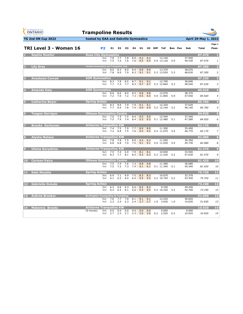| <b>GYMNASTICS</b><br><b>ONTARIO</b><br><b>SPORT STARTS HERE</b> | <b>Trampoline Results</b>                      |                |            |                |            |            |                       |            |                     |                      |         |                  |                      |                |
|-----------------------------------------------------------------|------------------------------------------------|----------------|------------|----------------|------------|------------|-----------------------|------------|---------------------|----------------------|---------|------------------|----------------------|----------------|
| TG 2nd ON Cup 2022                                              | hosted by OAA and Oakville Gymnastics          |                |            |                |            |            |                       |            |                     |                      |         |                  | April 29-May 1, 2022 |                |
| TRI Level 3 - Women 16                                          |                                                | P <sub>2</sub> | E1         | E <sub>2</sub> | E3         | E4         | H1                    |            | H <sub>2</sub> Diff | ToF                  | Bon Pen | Sub              | <b>Total</b>         | Page 1<br>Posn |
| <b>Sophia Mueller</b>                                           | <b>Rose City Gymnastics</b>                    |                |            |                |            |            |                       |            |                     |                      |         |                  | 87.470               | и              |
|                                                                 |                                                | Set<br>Vol     | 7.8<br>7.5 | 7.7<br>7.5     | 7.8<br>7.6 | 8.0<br>7.6 | 9.2<br>9.5            | 9.2<br>9.5 |                     | 13.140<br>5.9 13.130 | 5.9     | 37.940<br>49.530 | 87.470               | $\mathbf{1}$   |
| <b>Lily Grey</b><br>2                                           | <b>Twisters Gymnastics and Trampoline Club</b> |                |            |                |            |            |                       |            |                     |                      |         |                  | 87.300               | 2              |
|                                                                 |                                                | Set<br>Vol     | 8.0<br>7.8 | 8.3<br>8.0     | 8.0<br>7.9 | 8.4<br>8.3 | 9.0<br>9.1            | 9.0<br>9.1 |                     | 13.370<br>5.3 13.030 | 5.3     | 38.670<br>48.630 | 87.300               | $\overline{2}$ |
| <b>Anastasia Conrad</b><br>в                                    | <b>AIM Gymnastics</b>                          |                |            |                |            |            |                       |            |                     |                      |         |                  | 87.230               | в              |
|                                                                 |                                                | Set<br>Vol     | 8.3<br>7.7 | 7.8<br>7.4     | 8.5<br>7.7 | 8.7<br>8.3 | 9.1<br>9.7            | 9.1<br>9.7 |                     | 12.790<br>5.3 12.840 | 5.3     | 38.690<br>48.540 | 87.230               | 3              |
| <b>Amanda Daly</b>                                              | <b>AIM Gymnastics</b>                          | Set            | 8.6        | 8.0            | 8.0        | 8.5        | 9.8                   | 9.8        |                     | 12.070               |         | 38.370           | 85.920               | $\overline{4}$ |
|                                                                 |                                                | Vol            | 7.2        | 7.0            | 7.2        | 7.3        | 9.5                   | 9.5        |                     | 5.9 11.850           | 5.9     | 47.550           | 85.920               | $\overline{4}$ |
| <b>Catherine Boyer</b><br>5                                     | <b>Spring Action</b>                           | Set            | 8.3        | 8.6            | 7.9        | 7.9        | 9.1                   | 9.1        |                     | 12.320               |         | 37.620           | 85.760               | 5              |
|                                                                 |                                                | Vol            | 7.7        | 8.4            | 7.8        | 7.9        | 9.9                   | 9.9        |                     | 5.2 12.140           | 5.2     | 48.140           | 85.760               | 5              |
| <b>Teagan Harrigan</b><br>$6\phantom{1}$                        | <b>Ottawa Gymnastics Centre</b>                | Set            | 7.6        | 7.9            | 7.5        | 8.4        | 9.5                   | 9.5        |                     | 12.540               |         | 37.540           | 84.920               | $6\phantom{1}$ |
|                                                                 |                                                | Vol            | 7.5        | 7.9            | 7.4        | 8.4        | 9.3                   | 9.3        |                     | 5.1 12.480           | 5.1     | 47.380           | 84.920               | 6              |
| <b>Brooke Korhonen</b>                                          | <b>Airborne Trampoline KW</b>                  |                |            | 7.5            | 7.9        | 7.7        | 8.9                   | 8.9        |                     |                      |         | 35.400           | 82.170               | 7              |
|                                                                 |                                                | Set<br>Vol     | 7.4<br>7.3 | 6.8            | 7.5        | 7.6        | 9.5                   | 9.5        |                     | 11.300<br>5.4 11.670 | 5.4     | 46.770           | 82.170               | $\overline{z}$ |
| <b>Alysha Matson</b><br>8                                       | <b>Airborne Trampoline KW</b>                  |                |            |                |            |            |                       |            |                     |                      |         |                  | 82.080               | 8              |
|                                                                 |                                                | Set<br>Vol     | 7.8<br>6.8 | 7.8<br>6.8     | 7.5<br>7.0 | 8.0<br>7.5 | 9.2<br>9.1            | 9.2<br>9.1 |                     | 11.550<br>5.9 11.030 | 5.9     | 36.350<br>45.730 | 82.080               | 8              |
| <b>Uliana Karyakina</b><br>o                                    | <b>Airborne Trampoline KW</b>                  |                |            |                |            |            |                       |            |                     |                      |         |                  | 81.570               | 9              |
|                                                                 |                                                | Set<br>Vol     | 7.5<br>8.3 | 7.4<br>7.7     | 6.9<br>8.1 | 7.9<br>8.5 | 8.1<br>9.3            | 8.1<br>9.3 |                     | 10.940<br>5.2 11.530 | 5.2     | 33.940<br>47.630 | 81.570               | 9              |
| <b>Carmen Paice</b><br><b>10</b>                                | <b>Ottawa Gymnastics Centre</b>                |                |            |                |            |            |                       |            |                     |                      |         |                  | 81.420               | 10             |
|                                                                 |                                                | Set<br>Vol     | 7.5<br>7.5 | 7.4<br>7.2     | 7.6<br>7.3 | 7.3<br>7.4 | 9.8<br>9.1            | 9.8<br>9.1 |                     | 11.380<br>5.1 11.340 | 5.1     | 36.080<br>45.340 | 81.420               | 10             |
| <b>Kate Murphy</b><br>11                                        | <b>Spring Action</b>                           |                |            |                |            |            |                       |            |                     |                      |         |                  | 75.720               | 11             |
|                                                                 |                                                | Set<br>Vol     | 6.9<br>6.1 | 7.1<br>6.3     | 6.9<br>6.4 | 7.5<br>6.4 | 8.3<br>9.5            | 8.3<br>9.5 |                     | 10.070<br>5.2 10.750 | 5.2     | 32.370<br>43.350 | 75.720               | 11             |
| <b>Gabrielle Dulude</b><br>$12$                                 | <b>Spring Action</b>                           |                |            |                |            |            |                       |            |                     |                      |         |                  | 73.190               | 12             |
|                                                                 |                                                | Set<br>Vol     | 6.3<br>6.3 | 6.6<br>6.4     | 6.3<br>6.1 | 6.6<br>6.6 | 8.2<br>9.5            | 8.2<br>9.5 |                     | 9.330<br>5.2 10.160  | 5.2     | 30.430<br>42.760 | 73.190               | 12             |
| <b>Aubree Brooker</b><br>13                                     | <b>Burlington Trampoline &amp; Tumbling</b>    |                |            |                |            |            |                       |            |                     |                      |         |                  | 51.650               | 13             |
|                                                                 |                                                | Set<br>Vol     | 7.6<br>2.2 | 7.7<br>2.4     | 7.8<br>2.3 | 8.1<br>2.4 | 9.1<br>2.7            | 9.1<br>2.7 | 1.9                 | 12.220<br>3.630      | 1.9     | 36.820<br>14.830 | 51.650               | 13             |
| 14 Makenna Brooks                                               | <b>Airborne Trampoline KW</b>                  |                |            |                |            |            |                       |            |                     |                      |         |                  | 10.920               | 14             |
|                                                                 | (0 moves)                                      | Set<br>Vol     | 0.0<br>2.7 | 0.0<br>2.3     | 0.0<br>2.7 | 0.0        | 0.0<br>$2.3\quad 3.0$ | 0.0<br>3.0 | 0.2                 | 0.000<br>2.520       | 0.2     | 0.000<br>10.920  | 10.920               | 14             |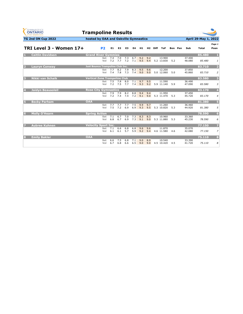| <b>GYMNASTICS</b><br><b>ONTARIO</b><br><b>SPORT STARTS HERE</b> | <b>Trampoline Results</b>               |            |                |            |            |                |            |                     |                      |         |                  |                      |                         |
|-----------------------------------------------------------------|-----------------------------------------|------------|----------------|------------|------------|----------------|------------|---------------------|----------------------|---------|------------------|----------------------|-------------------------|
| <b>TG 2nd ON Cup 2022</b>                                       | hosted by OAA and Oakville Gymnastics   |            |                |            |            |                |            |                     |                      |         |                  | April 29-May 1, 2022 |                         |
| TRI Level 3 - Women 17+                                         | P <sub>2</sub>                          | E1         | E <sub>2</sub> | E3         | E4         | H <sub>1</sub> |            | H <sub>2</sub> Diff | ToF                  | Bon Pen | Sub              | Total                | Page 1<br>Posn          |
| <b>Caitlin Davidson</b>                                         | <b>Grand River Gymmies</b>              |            |                |            |            |                |            |                     |                      |         |                  | 85.480               | $\mathbf{1}$            |
|                                                                 | Set<br>Vol                              | 7.4<br>7.2 | 7.0<br>7.7     | 7.3<br>7.2 | 6.7<br>7.1 | 9.2<br>9.5     | 9.2<br>9.4 |                     | 13.900<br>5.2 13.830 | 5.2     | 37.400<br>48.080 | 85,480               | 1                       |
| $\mathcal{L}$<br><b>Laurvn Conwav</b>                           | <b>Just Bounce Trampoline Club Inc.</b> |            |                |            |            |                |            |                     |                      |         |                  | 83.710               | $\overline{2}$          |
|                                                                 | Set<br>Vol                              | 7.7<br>7.4 | 8.2<br>7.8     | 7.9<br>7.3 | 8.3<br>7.4 | 9.5<br>9.0     | 9.6<br>9.0 |                     | 12.200<br>5.0 12.060 | 5.0     | 37.850<br>45.860 | 83.710               | $\overline{2}$          |
| 3<br><b>Nikki van Schaik</b>                                    | <b>Vertical Zone Trampoline Club</b>    |            |                |            |            |                |            |                     |                      |         |                  | 83,580               | $\overline{\mathbf{3}}$ |
|                                                                 | Set<br>Vol                              | 7.5<br>7.2 | 7.8<br>7.5     | 8.0<br>7.7 | 7.1<br>7.4 | 9.7<br>9.3     | 9.5<br>9.2 |                     | 11.590<br>5.9 11.140 | 5.9     | 36.490<br>47.090 | 83.580               | 3                       |
| $\overline{A}$<br><b>Jaidyn Beausoleil</b>                      | <b>Rose City Gymnastics</b>             |            |                |            |            |                |            |                     |                      |         |                  | 83.170               | $\overline{4}$          |
|                                                                 | Set<br>Vol                              | 7.9<br>7.2 | 7.9<br>7.4     | 8.2<br>7.4 | 8.8<br>7.2 | 9.4<br>9.1     | 9.4<br>9.0 |                     | 11.950<br>5.3 11.470 | 5.3     | 37.450<br>45.720 | 83.170               | $\overline{4}$          |
| Б<br><b>Becky Parham</b>                                        | <b>OAA</b>                              |            |                |            |            |                |            |                     |                      |         |                  | 81.380               | 5 <sub>5</sub>          |
|                                                                 | Set<br>Vol                              | 7.7<br>7.5 | 7.7<br>7.2     | 7.7<br>6.9 | 7.5<br>6.9 | 9.9<br>9.3     | 9.7<br>9.5 |                     | 11.260<br>5.3 10.820 | 5.3     | 36.460<br>44.920 | 81.380               | 5                       |
| <b>Molly O'Hearn</b><br>6                                       | <b>Spring Action</b>                    |            |                |            |            |                |            |                     |                      |         |                  | 78.590               | $6\phantom{1}$          |
|                                                                 | Set<br>Vol                              | 7.1<br>6.8 | 6.7<br>6.7     | 7.0<br>6.9 | 7.3<br>7.3 | 8.3<br>9.1     | 8.3<br>9.0 |                     | 10.960<br>5.3 11.880 | 5.3     | 33.360<br>45.230 | 78.590               | 6                       |
| <b>Aubree Kuhnen</b><br>Б                                       | <b>Velocity Sport Inc.</b>              |            |                |            |            |                |            |                     |                      |         |                  | 77.150               | 7                       |
|                                                                 | Set<br>Vol                              | 7.1<br>6.1 | 6.6<br>6.1     | 6.8<br>5.7 | 6.8<br>5.9 | 9.6<br>9.2     | 9.6<br>9.4 |                     | 11.870<br>4.6 11.580 | 4.6     | 35.070<br>42.080 | 77.150               | $\overline{z}$          |
| $\bf{8}$<br><b>Emily Bakler</b>                                 | <b>OAA</b>                              |            |                |            |            |                |            |                     |                      |         |                  | 75.110               | 8                       |
|                                                                 | Set<br>Vol                              | 6.6<br>6.7 | 7.5<br>6.8     | 6.8<br>6.6 | 7.1<br>6.5 | 9.0<br>9.0     | 8.9<br>9.0 |                     | 10.540<br>4.5 10.420 | 4.5     | 33.390<br>41.720 | 75.110               | 8                       |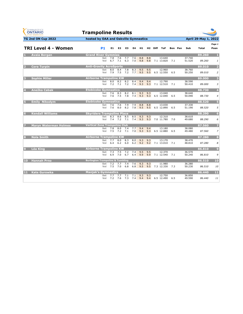| <b>GYMNASTICS</b><br><b>ONTARIO</b><br><b>SPORT STARTS HERE</b> | <b>Trampoline Results</b>                   |            |            |                |            |            |            |            |                         |     |         |                  |                      |                         |
|-----------------------------------------------------------------|---------------------------------------------|------------|------------|----------------|------------|------------|------------|------------|-------------------------|-----|---------|------------------|----------------------|-------------------------|
| <b>TG 2nd ON Cup 2022</b>                                       | hosted by OAA and Oakville Gymnastics       |            |            |                |            |            |            |            |                         |     |         |                  | April 29-May 1, 2022 |                         |
| TRI Level 4 - Women                                             |                                             | P1         | E1.        | E <sub>2</sub> | E3         | E4         | H1         |            | H <sub>2</sub> Diff ToF |     | Bon Pen | Sub              | Total                | Page 1<br>Posn          |
| <b>Avaia Bergan</b>                                             | <b>Grand River Gymmies</b>                  |            |            |                |            |            |            |            |                         |     |         |                  | 89.260               | л                       |
|                                                                 |                                             | Set<br>Vol | 7.8<br>6.7 | 7.6<br>7.1     | 7.7<br>6.3 | 7.6<br>7.0 | 8.8<br>9.8 | 8.8<br>9.8 | 13.640<br>7.1 13.820    | 7.1 |         | 37.740<br>51.520 | 89.260               | $\mathbf{1}$            |
| <b>Cora Turpin</b>                                              | <b>Anti-Gravity AcroSports</b>              |            |            |                |            |            |            |            |                         |     |         |                  | 89.010               | $\overline{2}$          |
|                                                                 |                                             | Set<br>Vol | 8.0<br>7.9 | 8.4<br>7.5     | 7.8<br>7.2 | 8.3<br>7.7 | 9.5<br>9.5 | 9.5<br>9.5 | 12.960<br>6.5 12.550    | 6.5 |         | 38.760<br>50.250 | 89.010               | $\overline{2}$          |
| <b>Sophie Miller</b><br>в                                       | <b>Airborne Trampoline KW</b>               |            |            |                |            |            |            |            |                         |     |         |                  | 89,000               | $\overline{\mathbf{3}}$ |
|                                                                 |                                             | Set<br>Vol | 8.0<br>7.2 | 8.2<br>7.1     | 8.2<br>7.2 | 8.4<br>7.4 | 9.4<br>9.3 | 9.4<br>9.3 | 12.790<br>7.1 12.510    | 7.1 |         | 38.590<br>50.410 | 89.000               | $\overline{3}$          |
| <b>Anežka Cabak</b>                                             | <b>Etobicoke Gymnastics</b>                 |            |            |                |            |            |            |            |                         |     |         |                  | 88.730               | $\overline{4}$          |
|                                                                 |                                             | Set<br>Vol | 7.6<br>7.6 | 8.3<br>7.5     | 8.2<br>7.8 | 8.1<br>7.4 | 9.3<br>9.3 | 9.3<br>9.3 | 13.040<br>6.5 12.690    | 6.5 |         | 38.640<br>50.090 | 88.730               | $\overline{4}$          |
| <b>Emily Nikodym</b><br>Б                                       | <b>Etobicoke Gymnastics</b>                 |            |            |                |            |            |            |            |                         |     |         |                  | 88,520               | $5\overline{5}$         |
|                                                                 |                                             | Set<br>Vol | 7.6<br>7.6 | 7.6<br>8.0     | 7.9<br>8.2 | 7.9<br>7.8 | 8.8<br>9.5 | 8.8<br>9.5 | 13.030<br>6.5 12.890    | 6.5 |         | 37.330<br>51.190 | 88.520               | 5                       |
| <b>Kendall Williams</b>                                         | <b>Skyriders Trampoline Place</b>           |            |            |                |            |            |            |            |                         |     |         |                  | 88.290               | $6\phantom{1}6$         |
|                                                                 |                                             | Set<br>Vol | 8.3<br>7.4 | 8.6<br>7.2     | 8.5<br>7.1 | 8.5<br>7.4 | 9.3<br>9.3 | 9.3<br>9.3 | 12.310<br>7.0 11.780    | 7.0 |         | 38.610<br>49.680 | 88.290               | 6                       |
| <b>Maryn Waterman Holmes</b>                                    | <b>Vertical Zone Trampoline Club</b>        |            |            |                |            |            |            |            |                         |     |         |                  | 87.560               | 7                       |
|                                                                 |                                             | Set<br>Vol | 7.8<br>7.5 | 8.0<br>7.2     | 7.4<br>7.1 | 7.7<br>7.0 | 9.4<br>9.3 | 9.4<br>9.3 | 13.180<br>6.5 12.880    | 6.5 |         | 38.080<br>49.480 | 87.560               | $\overline{z}$          |
| <b>Nola Smith</b><br>8                                          | <b>Airborne Trampoline KW</b>               |            |            |                |            |            |            |            |                         |     |         |                  | 87.280               | 8                       |
|                                                                 |                                             | Set<br>Vol | 7.7<br>6.4 | 8.0<br>6.2     | 8.3<br>6.0 | 8.0<br>6.2 | 9.3<br>9.2 | 9.3<br>9.2 | 13.170<br>7.1 13.010    | 7.1 |         | 38.470<br>48.810 | 87.280               | 8                       |
| <b>Léa King</b><br>$\boldsymbol{9}$                             | <b>Airborne Trampoline KW</b>               |            |            |                |            |            |            |            |                         |     |         |                  | 86,810               | $\overline{9}$          |
|                                                                 |                                             | Set<br>Vol | 7.3<br>6.9 | 7.5<br>7.0     | 7.2<br>6.7 | 7.4<br>6.4 | 9.5<br>9.9 | 9.5<br>9.9 | 12.370<br>7.1 12.540    | 7.1 |         | 36.570<br>50.240 | 86.810               | 9                       |
| <b>Hannah Prno</b><br>10                                        | <b>Burlington Trampoline &amp; Tumbling</b> |            |            |                |            |            |            |            |                         |     |         |                  | 86,510               | 10                      |
|                                                                 |                                             | Set<br>Vol | 7.2<br>7.5 | 7.7<br>7.0     | 7.4<br>6.8 | 7.6<br>6.8 | 9.3<br>9.5 | 9.3<br>9.5 | 11.980<br>7.3 12.330    | 7.3 |         | 36.280<br>50.230 | 86.510               | 10                      |
| <b>Kate Gurowka</b><br><b>FL 1.</b>                             | <b>Manjak's Gymnastics</b>                  |            |            |                |            |            |            |            |                         |     |         |                  | 86,440               | 11                      |
|                                                                 |                                             | Set<br>Vol | 7.7<br>7.2 | 7.7<br>7.6     | 7.1<br>7.3 | 7.1<br>7.4 | 9.3<br>9.4 | 9.3<br>9.4 | 12.750<br>6.5 12.490    | 6.5 |         | 36.850<br>49.590 | 86.440               | 11                      |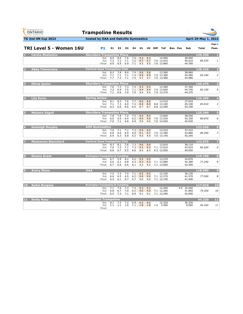| <b>GYMNASTICS</b><br><b>ONTARIO</b><br><b>SPORT STARTS HERE</b> | <b>Trampoline Results</b>                   |                   |                   |                   |                   |                        |                   |             |                                    |         |                                |                        |                  |
|-----------------------------------------------------------------|---------------------------------------------|-------------------|-------------------|-------------------|-------------------|------------------------|-------------------|-------------|------------------------------------|---------|--------------------------------|------------------------|------------------|
| <b>TG 2nd ON Cup 2022</b>                                       | hosted by OAA and Oakville Gymnastics       |                   |                   |                   |                   |                        |                   |             |                                    |         |                                | <b>April 29-May 1,</b> | 2022             |
| TRI Level 5 - Women 16U                                         | P <sub>1</sub>                              | E1                | E <sub>2</sub>    | E3                | E4                | H1                     | H2                | <b>Diff</b> | <b>ToF</b>                         | Bon Pen | Sub                            | <b>Total</b>           | Page 1<br>Posn   |
| Carina Shalamov                                                 | <b>Skyriders Trampoline Place</b>           |                   |                   |                   |                   |                        |                   |             |                                    |         |                                | 129.330                | л                |
|                                                                 | Set<br>Vol<br>Final                         | 8.0<br>7.3<br>6.9 | 8.0<br>7.2<br>6.9 | 7.6<br>7.1<br>6.9 | 7.6<br>7.2<br>7.1 | 9.3<br>9.7<br>9.5      | 9.3<br>9.7<br>9.5 |             | 14.060<br>7.6 13.910<br>7.6 13.860 |         | 38.960<br>45.610<br>44.760     | 84.570                 | 1                |
| <b>Abby Tiemersma</b>                                           | <b>Vertical Zone Trampoline Club</b>        |                   |                   |                   |                   |                        |                   |             |                                    |         |                                | 128,320                | 2                |
|                                                                 | Set<br>Vol<br>Final                         | 8.2<br>7.1<br>7.7 | 7.8<br>7.1<br>7.3 | 8.0<br>7.1<br>7.1 | 7.9<br>7.4<br>7.5 | 9.6<br>9.9<br>9.7      | 9.6<br>9.9<br>9.7 |             | 13.360<br>7.0 13.380<br>7.0 13.480 |         | 38.860<br>44.480<br>44.980     | 83.340                 | $\overline{2}$   |
| <b>Olivia Quinn</b>                                             | <b>Skyriders Trampoline Place</b>           |                   |                   |                   |                   |                        |                   |             |                                    |         |                                | 126,470                | в                |
|                                                                 | Set<br>Vol<br>Final                         | 7.6<br>7.2<br>7.1 | 7.3<br>6.9<br>6.6 | 7.3<br>7.0<br>7.0 | 7.4<br>7.1<br>7.0 | 9.3<br>9.4<br>9.4      | 9.3<br>9.4<br>9.4 |             | 13.360<br>7.6 13.640<br>7.6 13.370 |         | 37.360<br>44.740<br>44.370     | 82.100                 | $\overline{4}$   |
| <b>Lily Kurtz</b>                                               | <b>Spring Action</b>                        |                   |                   |                   |                   |                        |                   |             |                                    |         |                                | 126,200                | $\overline{4}$   |
|                                                                 | Set<br>Vol<br>Final                         | 8.1<br>7.1<br>6.3 | 8.3<br>7.3<br>6.6 | 7.6<br>6.9<br>6.6 | 7.7<br>7.2<br>6.5 | 8.6<br>8.9<br>8.7      | 8.6<br>8.9<br>8.7 |             | 13.510<br>8.8 13.100<br>8.8 12.590 |         | 37.910<br>45.100<br>43.190     | 83.010                 | 3                |
| <b>Melanie Edgell</b>                                           | <b>Skyriders Trampoline Place</b>           |                   |                   |                   |                   |                        |                   |             |                                    |         |                                | 125.390                | Б                |
|                                                                 | Set<br>Vol<br>Final                         | 7.8<br>6.0<br>7.0 | 7.8<br>5.9<br>7.1 | 7.2<br>6.4<br>6.8 | 7.5<br>6.2<br>6.9 | 9.4<br>9.0<br>9.0      | 9.4<br>9.0<br>9.0 |             | 13.840<br>7.6 13.530<br>7.6 14.020 |         | 38.540<br>42.330<br>44.520     | 80.870                 | 6                |
| <b>Kaeleigh Murphy</b><br>6                                     | <b>AIM Gymnastics</b>                       |                   |                   |                   |                   |                        |                   |             |                                    |         |                                | 122.530                | $6\phantom{1}$   |
|                                                                 | Set<br>Vol<br>Final                         | 7.6<br>6.8<br>6.9 | 7.1<br>6.6<br>6.3 | 7.1<br>6.9<br>6.8 | 7.3<br>6.0<br>6.3 | 9.5<br>9.1<br>9.0      | 9.5<br>9.1<br>9.0 |             | 13.510<br>7.0 13.380<br>7.0 13.140 |         | 37.410<br>42.880<br>42.240     | 80.290                 | $\overline{z}$   |
| <b>Mackenzie Blanchard</b>                                      | <b>Vertical Zone Trampoline Club</b>        |                   |                   |                   |                   |                        |                   |             |                                    |         |                                | 122.070                | 7                |
|                                                                 | Set<br>Vol<br>Final                         | 8.3<br>7.6<br>6.8 | 8.1<br>7.3<br>6.7 | 7.6<br>7.1<br>6.5 | 7.3<br>7.3<br>6.6 | 9.6<br>9.2<br>8.4      | 9.6<br>9.2<br>8.4 |             | 12.810<br>7.1 13.010<br>6.3 12.050 |         | 38.110<br>43.910<br>40.050     | 82.020                 | 5                |
| <b>Sienna Grant</b>                                             | <b>Burlington Trampoline &amp; Tumbling</b> |                   |                   |                   |                   |                        |                   |             |                                    |         |                                | 119.750                | 8                |
|                                                                 | Set<br>Vol<br>Final                         | 6.7<br>6.6<br>6.7 | 5.9<br>6.1<br>6.6 | 6.2<br>6.8<br>6.6 | 5.2<br>6.3<br>6.1 | 9.5<br>9.3<br>9.2      | 9.5<br>9.3<br>9.2 |             | 13.270<br>7.1 13.080<br>7.1 13.000 |         | 34.870<br>42.380<br>42.500     | 77.250                 | 9                |
| <b>Avery Shaw</b>                                               | <b>OAA</b>                                  |                   |                   |                   |                   |                        |                   |             |                                    |         |                                | 118,990                | $\boldsymbol{9}$ |
|                                                                 | Set<br>Vol<br>Final                         | 7.5<br>6.6<br>6.5 | 7.3<br>6.5<br>6.1 | 7.4<br>6.5<br>6.7 | 7.1<br>6.2<br>6.7 | 9.2<br>9.0<br>9.0      | 9.2<br>9.0<br>9.0 |             | 12.230<br>7.1 12.270<br>7.1 12.190 |         | 36.130<br>41.370<br>41.490     | 77.500                 | 8                |
| 10 Sydni Burgess                                                | <b>Burlington Trampoline &amp; Tumbling</b> |                   |                   |                   |                   |                        |                   |             |                                    |         |                                | 117.010                | 10               |
|                                                                 | Set<br>Vol<br>Final                         | 7.1<br>6.8<br>6.9 | 7.6<br>6.7<br>7.3 | 7.3<br>7.0<br>7.1 | 7.4<br>6.5<br>6.9 | 9.3<br>9.0<br>9.1      | 9.3<br>9.0<br>9.1 |             | 12.460<br>7.1 12.260<br>7.1 12.490 |         | 4.0 32.460<br>41.860<br>42.690 | 74.320                 | 10               |
| <b>Emily Rosu</b><br>11                                         | <b>Ascension Trampoline</b>                 |                   |                   |                   |                   |                        |                   |             |                                    |         |                                | 44.320                 | 11               |
|                                                                 | Set<br>Vol<br>Final                         | 8.1<br>1.1        | 7.3<br>1.1        | 7.2<br>1.0        | 6.9               | 9.5<br>$1.1 \quad 1.8$ | 9.5<br>1.8        | 1.6         | 12.320<br>2.400                    |         | 36.320<br>8.000                | 44.320                 | 11               |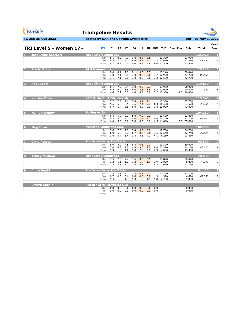| <b>GYMNASTICS</b><br><b>ONTARIO</b><br><b>SPORT STARTS HERE</b> | <b>Trampoline Results</b>               |                   |                   |                   |                   |                   |                   |                     |                                    |         |                                |                      |                  |
|-----------------------------------------------------------------|-----------------------------------------|-------------------|-------------------|-------------------|-------------------|-------------------|-------------------|---------------------|------------------------------------|---------|--------------------------------|----------------------|------------------|
| TG 2nd ON Cup 2022                                              | hosted by OAA and Oakville Gymnastics   |                   |                   |                   |                   |                   |                   |                     |                                    |         |                                | April 29-May 1, 2022 |                  |
| TRI Level 5 - Women 17+                                         | <b>P1</b>                               | E1                | E <sub>2</sub>    | E3                | E4                | H1                |                   | H <sub>2</sub> Diff | ToF                                | Bon Pen | Sub                            | Total                | Page 1<br>Posn   |
| <b>Jacqueline Ceccacci</b>                                      | <b>Rose City Gymnastics</b>             |                   |                   |                   |                   |                   |                   |                     |                                    |         |                                | 125.420              |                  |
|                                                                 | Set<br>Vol<br>Final                     | 8.1<br>6.8<br>6.7 | 8.0<br>7.0<br>6.8 | 7.7<br>6.7<br>6.5 | 7.8<br>6.6<br>6.4 | 8.8<br>9.2<br>8.8 | 8.8<br>9.2<br>8.8 |                     | 13.330<br>7.2 13.650<br>8.4 13.540 |         | 37.930<br>43.550<br>43.940     | 81.480               | 3                |
| <b>Zoe McBride</b><br>2                                         | <b>AIM Gymnastics</b>                   |                   |                   |                   |                   |                   |                   |                     |                                    |         |                                | 125.340              | 2                |
|                                                                 | Set<br>Vol<br>Final                     | 8.0<br>7.0<br>7.1 | 8.1<br>7.1<br>7.1 | 7.9<br>6.9<br>6.9 | 8.1<br>7.3<br>7.0 | 9.5<br>9.0<br>8.8 | 9.5<br>9.0<br>8.8 |                     | 13.240<br>7.7 12.920<br>7.2 12.680 |         | 38.840<br>43.720<br>42.780     | 82.560               | $\overline{2}$   |
| <b>Abby Joost</b>                                               | <b>Rose City Gymnastics</b>             |                   |                   |                   |                   |                   |                   |                     |                                    |         |                                | 119,850              | з                |
|                                                                 | Set<br>Vol<br>Final                     | 8.1<br>6.2<br>6.6 | 7.9<br>6.0<br>7.2 | 7.4<br>5.8<br>6.7 | 7.8<br>6.0<br>6.6 | 9.3<br>8.6<br>8.8 | 9.3<br>8.6<br>8.8 |                     | 13.970<br>6.8 13.000<br>5.7 13.980 |         | 38.970<br>40.400<br>1.3 40.480 | 79.370               | 5                |
| <b>Katrien Milne</b><br>$\overline{4}$                          | <b>Vertical Zone Trampoline Club</b>    |                   |                   |                   |                   |                   |                   |                     |                                    |         |                                | 115.340              | $\overline{4}$   |
|                                                                 | Set<br>Vol<br>Final                     | 7.7<br>5.6<br>6.7 | 7.8<br>5.3<br>6.7 | 7.6<br>5.1<br>6.8 | 7.6<br>4.6<br>6.0 | 9.1<br>7.4<br>8.9 | 9.1<br>7.4<br>8.9 |                     | 13.330<br>6.3 10.420<br>7.8 12.990 |         | 37.730<br>34.520<br>43.090     | 72.250               | 6                |
| <b>Hallie Rainbow</b>                                           | <b>Spring Action</b>                    |                   |                   |                   |                   |                   |                   |                     |                                    |         |                                | 104.160              | 5                |
|                                                                 | Set<br>Vol<br>Final                     | 6.4<br>5.2<br>6.0 | 5.9<br>5.0<br>5.8 | 6.1<br>5.2<br>6.0 | 5.8<br>5.0<br>5.6 | 9.2<br>7.2<br>8.0 | 9.2<br>7.2<br>8.0 |                     | 12.600<br>5.0 10.300<br>6.5 11.860 |         | 33.800<br>32.700<br>0.5 37.660 | 66.500               | 7                |
| <b>Meg Turai</b><br>6                                           | <b>Pulsars Gymnastics Club</b>          |                   |                   |                   |                   |                   |                   |                     |                                    |         |                                | 100.950              | $6\phantom{.}6$  |
|                                                                 | Set<br>Vol<br>Final                     | 7.6<br>6.9<br>3.6 | 7.8<br>6.8<br>3.4 | 7.3<br>6.7<br>3.4 | 7.4<br>6.7<br>3.4 | 9.0<br>9.0<br>4.3 | 9.0<br>9.0<br>4.3 | 4.1                 | 12.780<br>7.6 12.640<br>6.230      |         | 36.780<br>42.740<br>21.430     | 79.520               | 4                |
| <b>Carly Pesses</b>                                             | <b>Just Bounce Trampoline Club Inc.</b> |                   |                   |                   |                   |                   |                   |                     |                                    |         |                                | 96.500               | 7                |
|                                                                 | Set<br>Vol<br>Final                     | 8.0<br>7.0<br>1.9 | 8.2<br>6.8<br>1.8 | 7.5<br>7.0<br>1.6 | 8.4<br>6.8<br>1.8 | 9.3<br>9.0<br>2.8 | 9.3<br>9.0<br>2.8 | 2.9                 | 13.500<br>8.0 13.320<br>4.080      |         | 39.000<br>44.120<br>13.380     | 83.120               | 1                |
| <b>Ashley Mailloux</b><br>ß.                                    | <b>Rose City Gymnastics</b>             |                   |                   |                   |                   |                   |                   |                     |                                    |         |                                | 70.030               | 8                |
|                                                                 | Set<br>Vol<br>Final                     | 7.5<br>1.2<br>3.5 | 7.8<br>1.1<br>3.6 | 7.4<br>1.2<br>3.2 | 7.6<br>1.2<br>3.4 | 9.5<br>1.7<br>4.3 | 9.5<br>1.7<br>4.3 | 1.9<br>4.5          | 13.820<br>2.820<br>7.090           |         | 38.420<br>8.820<br>22.790      | 47.240               | 8                |
| $\mathbf{Q}$<br>Anisa Begiri                                    | Just Bounce Trampoline Club Inc.        |                   |                   |                   |                   |                   |                   |                     |                                    |         |                                | 51.420               | $\boldsymbol{9}$ |
|                                                                 | Set<br>Vol<br>Final                     | 7.8<br>0.7<br>1.4 | 7.3<br>0.6<br>1.3 | 7.1<br>0.6<br>1.3 | 7.5<br>0.6<br>1.3 | 9.1<br>0.8<br>1.9 | 9.1<br>0.8<br>1.9 | 1.3<br>1.8          | 13.800<br>1.390<br>2.730           |         | 37.700<br>4.690<br>9.030       | 42.390               | 9                |
| <b>Emilyn Aucoin</b>                                            | <b>Kingston Aeros Trampoline Club</b>   |                   |                   |                   |                   |                   |                   |                     |                                    |         |                                |                      |                  |
|                                                                 | Set<br>Vol<br>Final                     | 0.0<br>0.0        | 0.0<br>0.0        | 0.0<br>0.0        | 0.0<br>0.0        | 0.0<br>0.0        | 0.0<br>0.0        | 0.0<br>0.0          |                                    |         | 0.000<br>0.000                 |                      |                  |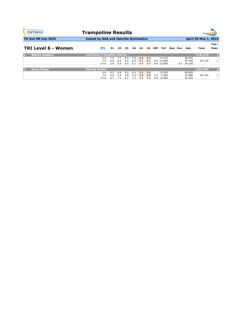| <b>GYMNASTICS</b><br><b>ONTARIO</b><br><b>SPORT STARTS HERE</b> | <b>Trampoline Results</b>             |            |                |     |     |     |     |      |            |         | - 4        |                      |                |
|-----------------------------------------------------------------|---------------------------------------|------------|----------------|-----|-----|-----|-----|------|------------|---------|------------|----------------------|----------------|
| TG 2nd ON Cup 2022                                              | hosted by OAA and Oakville Gymnastics |            |                |     |     |     |     |      |            |         |            | April 29-May 1, 2022 |                |
|                                                                 |                                       |            |                |     |     |     |     |      |            |         |            |                      | Page 1         |
| TRI Level 6 - Women                                             | P1                                    | E1         | E <sub>2</sub> | E3  | E4  | H1  | H2  | Diff | <b>ToF</b> | Bon Pen | Sub        | Total                | Posn           |
| <b>Blythe Gadsby</b><br>И                                       | Just Bounce Trampoline Club Inc.      |            |                |     |     |     |     |      |            |         |            | 118,370              | $\mathbf{I}$   |
|                                                                 | Set                                   | 7.9        | 7.7            | 8.0 | 7.9 | 9.0 | 9.0 |      | 14.170     |         | 38.970     |                      |                |
|                                                                 | Vol                                   | 6.9<br>5.9 | 6.5            | 6.4 | 6.5 | 9.1 | 9.1 |      | 9.6 13.600 |         | 45.300     | 84,270               | 1              |
|                                                                 | Final                                 |            | 5.9            | 6.0 | 6.1 | 8.9 | 8.9 |      | 4.6 12.900 |         | 4.2 34.100 |                      |                |
| <b>Anna Floyd</b><br>2                                          | <b>Spring Action</b>                  |            |                |     |     |     |     |      |            |         |            | 105.350              | $\overline{2}$ |
|                                                                 | Set                                   | 8.5        | 8.8            | 8.9 | 8.4 | 9.4 | 9.4 |      | 13.950     |         | 40.650     |                      |                |
|                                                                 | Vol                                   | 3.0        | 2.9            | 2.8 | 3.0 | 3.8 | 3.8 | 4.3  | 5.480      |         | 19.480     | 60.130               | 2              |
|                                                                 | Final                                 | 6.7        | 7.1            | 6.7 | 7.2 | 9.0 | 9.0 |      | 9.6 12.820 |         | 45.220     |                      |                |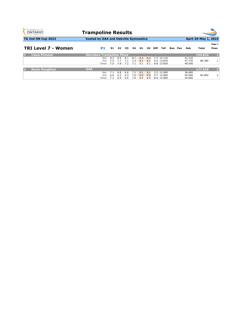| <b>GYMNASTICS</b><br><b>ONTARIO</b><br><b>SPORT STARTS HERE</b> | <b>Trampoline Results</b>             |     |                |     |     |     |     |             |            |         | - 4    |                      |                |
|-----------------------------------------------------------------|---------------------------------------|-----|----------------|-----|-----|-----|-----|-------------|------------|---------|--------|----------------------|----------------|
| TG 2nd ON Cup 2022                                              | hosted by OAA and Oakville Gymnastics |     |                |     |     |     |     |             |            |         |        | April 29-May 1, 2022 |                |
|                                                                 |                                       |     |                |     |     |     |     |             |            |         |        |                      | Page 1         |
| <b>TRI Level 7 - Women</b>                                      | P1                                    | E1  | E <sub>2</sub> | E3  | E4  | H1. | H2. | <b>Diff</b> | <b>ToF</b> | Bon Pen | Sub    | Total                | Posn           |
| <b>Liana Pinnock</b><br>н                                       | <b>Skyriders Trampoline Place</b>     |     |                |     |     |     |     |             |            |         |        | 134,810              |                |
|                                                                 | Set                                   | 8.2 | 8.9            | 8.1 | 8.1 | 9.3 | 9.3 |             | 1.5 14.110 |         | 41.210 |                      |                |
|                                                                 | Vol                                   | 7.4 | 7.7            | 7.1 | 7.4 | 9.1 | 9.1 |             | 9.4 13.870 |         | 47.170 | 88.380               | 1              |
|                                                                 | Final                                 | 7.5 | 7.8            | 7.2 | 7.1 | 9.1 | 9.1 |             | 8.8 13.830 |         | 46.430 |                      |                |
| <b>Kezia Houghton</b><br>2                                      | <b>OAA</b>                            |     |                |     |     |     |     |             |            |         |        | 127.620              | $\overline{2}$ |
|                                                                 | Set                                   | 7.1 | 6.8            | 6.6 | 7.2 | 9.1 | 9.1 |             | 2.5 12.900 |         | 38.400 |                      |                |
|                                                                 | Vol                                   | 6.6 | 6.3            | 6.3 | 7.0 | 9.0 | 9.0 |             | 9.7 12.960 |         | 44.560 | 82.960               | 2              |
|                                                                 | Final                                 | 7.3 | 6.9            | 6.6 | 7.0 | 8.9 | 8.9 |             | 8.8 13.060 |         | 44.660 |                      |                |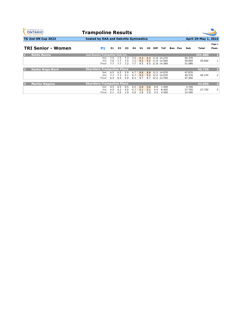| <b>GYMNASTICS</b><br><b>ONTARIO</b><br><b>SPORT STARTS HERE</b> | <b>Trampoline Results</b>               |                   |                   |                   |                   |                   |                   |                   |                                                       |         | 3                          |                      |                |
|-----------------------------------------------------------------|-----------------------------------------|-------------------|-------------------|-------------------|-------------------|-------------------|-------------------|-------------------|-------------------------------------------------------|---------|----------------------------|----------------------|----------------|
| <b>TG 2nd ON Cup 2022</b>                                       | hosted by OAA and Oakville Gymnastics   |                   |                   |                   |                   |                   |                   |                   |                                                       |         |                            | April 29-May 1, 2022 |                |
|                                                                 |                                         |                   |                   |                   |                   |                   |                   |                   |                                                       |         |                            |                      | Page 1         |
| <b>TRI Senior - Women</b>                                       | P1                                      | E1                | E <sub>2</sub>    | E3                | E4                | H1.               | H2                | <b>Diff</b>       | ToF                                                   | Bon Pen | Sub                        | Total                | Posn           |
| <b>Rielle Bonne</b>                                             | <b>Just Bounce Trampoline Club Inc.</b> |                   |                   |                   |                   |                   |                   |                   |                                                       |         |                            | 101.680              | л              |
|                                                                 | Set<br>Vol<br>Final                     | 7.5<br>7.6<br>7.7 | 7.5<br>7.7<br>7.7 | 7.3<br>7.5<br>7.2 | 7.6<br>7.2<br>7.7 | 9.3<br>9.2<br>9.5 |                   |                   | 9.3 11.8 14.270<br>9.2 11.8 14.500<br>9.5 11.8 14.380 |         | 50.370<br>50.600<br>51.080 | 50.600               | 1              |
| <b>Kasha Noga-Bard</b><br>D                                     | <b>Skyriders Trampoline Place</b>       |                   |                   |                   |                   |                   |                   |                   |                                                       |         |                            | 96.730               | $\mathbf{Z}$   |
|                                                                 | Set<br>Vol<br>Final                     | 6.5<br>7.1<br>6.4 | 6.3<br>7.3<br>6.4 | 5.9<br>6.1<br>5.9 | 6.7<br>6.7<br>6.3 | 8.8<br>9.3<br>8.7 | 8.8<br>9.3<br>8.7 |                   | 12.2 14.070<br>12.2 14.070<br>12.2 13.760             |         | 47.870<br>49.370<br>47.360 | 49.370               | $\overline{2}$ |
| <b>Mariko Nagano</b><br>в                                       | <b>Skyriders Trampoline Place</b>       |                   |                   |                   |                   |                   |                   |                   |                                                       |         |                            | 42.050               | 3              |
|                                                                 | Set<br>Vol<br>Final                     | 0.5<br>4.5<br>2.1 | 0.5<br>4.3<br>2.0 | 0.5<br>4.0<br>1.9 | 0.5<br>4.7<br>2.0 | 0.8<br>5.1<br>2.8 | 0.8<br>5.1<br>2.8 | 0.9<br>5.4<br>3.3 | 1.490<br>8.450<br>4.200                               |         | 4.190<br>27.750<br>14.300  | 27.750               | 3              |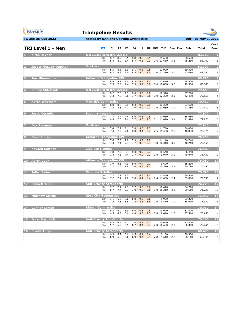| <b>GYMNASTICS</b><br><b>ONTARIO</b><br>SPORT STARTS HERE | <b>Trampoline Results</b>               |                |                            |                |            |            |                             |            |     |                                         |     |         |                  |                      |                |
|----------------------------------------------------------|-----------------------------------------|----------------|----------------------------|----------------|------------|------------|-----------------------------|------------|-----|-----------------------------------------|-----|---------|------------------|----------------------|----------------|
| <b>TG 2nd ON Cup 2022</b>                                | hosted by OAA and Oakville Gymnastics   |                |                            |                |            |            |                             |            |     |                                         |     |         |                  | April 29-May 1, 2022 |                |
|                                                          |                                         |                |                            |                |            |            |                             |            |     |                                         |     |         |                  |                      | Page 1         |
| <b>TRI Level 1 - Men</b>                                 |                                         | P <sub>2</sub> | E1                         | E <sub>2</sub> | E3         | E4         | H <sub>1</sub>              |            |     | H <sub>2</sub> Diff ToF                 |     | Bon Pen | Sub              | Total                | Posn           |
| <b>Kiran Rayner</b>                                      | <b>Just Bounce Trampoline Club Inc.</b> | Set            | 8.7                        | 8.7            | 8.5        | 8.8        | 9.5                         | 9.5        |     | 11.600                                  |     |         | 38.500           | 83.760               | п              |
|                                                          |                                         | Vol            | 8.4                        | 8.9            | 8.4        | 8.7        | 9.3                         | 9.3        |     | 3.6 11.660                              | 3.6 |         | 45.260           | 83.760               | 1              |
| <b>Jasper McLean-Dutcher</b>                             | <b>Muskoka</b>                          |                |                            |                |            |            |                             |            |     |                                         |     |         |                  | 82.790               | 2              |
|                                                          |                                         | Set<br>Vol     | 8.5<br>8.2                 | 8.6<br>8.8     | 8.9<br>8.6 | 9.1<br>8.5 | 9.8<br>9.0                  | 9.8<br>9.0 |     | 12.000<br>3.0 11.390                    | 3.0 |         | 39.300<br>43.490 | 82.790               | $\overline{2}$ |
| <b>Jon Himmelman</b>                                     | <b>Airborne Trampoline KW</b>           |                |                            |                |            |            |                             |            |     |                                         |     |         |                  | 80.880               | з              |
|                                                          |                                         | Set<br>Vol     | 8.9<br>7.3                 | 8.9<br>7.9     | 8.6<br>7.4 | 8.5<br>7.9 | 9.4<br>9.2                  | 9.4<br>9.2 |     | 11.420<br>3.6 10.860                    | 3.6 |         | 38.320<br>42.560 | 80.880               | 3              |
| <b>Roman Shteflyuk</b>                                   | <b>Just Bounce Trampoline Club Inc.</b> |                |                            |                |            |            |                             |            |     |                                         |     |         |                  | 79.660               | $\overline{4}$ |
|                                                          |                                         | Set<br>Vol     | 8.2<br>7.3                 | 7.8<br>7.8     | 7.9<br>7.6 | 8.0<br>7.7 | 9.0<br>8.8                  | 9.0<br>8.8 |     | 12.310<br>3.0 12.350                    | 3.0 |         | 37.210<br>42.450 | 79.660               | $\overline{4}$ |
| <b>Aaron Whetham</b>                                     | <b>Manjak's Gymnastics</b>              |                |                            |                |            |            |                             |            |     |                                         |     |         |                  | 79.410               | Б              |
|                                                          |                                         | Set<br>Vol     | 8.0<br>7.5                 | 8.7<br>8.3     | 7.9<br>7.7 | 8.3        | 9.9<br>$7.9$ 9.2            | 9.9<br>9.2 |     | 11.360<br>3.0 11.050                    | 3.0 |         | 37.560<br>41.850 | 79.410               | 5              |
| <b>Jacob Costello</b><br>6                               | <b>Sudbury Laurels</b>                  |                |                            |                |            |            |                             |            |     |                                         |     |         |                  | 77.970               | $6\phantom{1}$ |
|                                                          |                                         | Set<br>Vol     | 7.3<br>6.9                 | 7.7<br>7.6     | 7.4<br>7.6 | 8.0<br>7.7 | 9.8<br>9.5                  | 9.8<br>9.5 |     | 11.080<br>3.1 11.090                    | 3.1 |         | 35.980<br>41.990 | 77.970               | 6              |
| <b>Dax Plexman</b>                                       | <b>Muskoka</b>                          |                |                            |                |            |            |                             |            |     |                                         |     |         |                  | 77.310               | 7              |
|                                                          |                                         | Set<br>Vol     | 7.4<br>7.4                 | 7.2<br>7.2     | 8.1<br>7.6 | 7.8<br>8.0 | 9.5<br>9.4                  | 9.5<br>9.4 |     | 11.780<br>2.5 11.430                    | 2.5 |         | 36.480<br>40.830 | 77.310               | $\overline{z}$ |
| <b>Devin Horan</b>                                       | <b>Airborne Trampoline KW</b>           |                |                            |                |            |            |                             |            |     |                                         |     |         |                  | 76.950               | 8              |
|                                                          |                                         | Set            | 7.6                        | 7.8            | 7.9        | 7.9        | 9.9                         | 9.9        |     | 11.140                                  |     |         | 36.740           |                      |                |
|                                                          |                                         | Vol            | 7.3                        | 7.1            | 7.3        | 7.7        | 9.3                         | 9.3        |     | 3.0 10.310                              | 3.0 |         | 40.210           | 76.950               | 8              |
| <b>Kayden Gaffney</b>                                    | <b>Club Les Sittelles</b>               | Set            | 7.8                        | 7.9            | 8.3        | 8.3        | 9.7                         | 9.7        |     | 10.540                                  |     |         | 36.440           | 76.480               | 9              |
|                                                          |                                         | Vol            | 7.4                        | 7.5            | 7.4        | 7.7        | 9.2                         | 9.2        | 3.0 | 9.940                                   | 3.0 |         | 40.040           | 76.480               | 9              |
| <b>Aaron Cook</b><br>10                                  | <b>Airborne Trampoline KW</b>           | Set            | 7.9                        | 8.1            | 7.9        | 8.0        | 9.7                         | 9.7        |     | 9.690                                   |     |         | 35.290           | 76.080               | <b>10</b>      |
|                                                          |                                         | Vol            | 7.2                        | 7.5            | 7.8        | 7.4        | 9.3                         | 9.3        |     | 3.1 10.390                              | 3.1 |         | 40.790           | 76.080               | 10             |
| Julien Fedor<br>11                                       | <b>Club Les Sittelles</b>               | Set            | 7.2                        | 7.7            | 7.5        | 7.7        | 9.5                         | 9.5        |     | 11.860                                  |     |         | 36.560           | 75.590               | 11             |
|                                                          |                                         | Vol            | 7.2                        | 7.4            | 7.2        | 7.0        | 8.4                         | 8.4        |     | 2.4 11.430                              | 2.4 |         | 39.030           | 75.590               | 11             |
| <b>Emmett Turpin</b><br>12                               | <b>Anti-Gravity AcroSports</b>          |                |                            |                |            |            |                             |            |     |                                         |     |         |                  | 74.220               | 12             |
|                                                          |                                         | Set<br>Vol     | 7.2<br>6.7                 | 7.4<br>7.4     | 7.3<br>6.7 | 7.7<br>7.0 | 9.6<br>9.6                  | 9.6<br>9.6 |     | 10.410<br>3.0 10.210                    | 3.0 |         | 34.710<br>39.510 | 74.220               | 12             |
| <b>Matthew Clarke</b><br>13                              | <b>Rose City Gymnastics</b>             |                |                            |                |            |            |                             |            |     |                                         |     |         |                  | 71.930               | 13             |
|                                                          |                                         | Set<br>Vol     | 7.1<br>7.2                 | 6.6<br>7.5     | 7.0<br>6.8 | 6.8        | 9.6<br>$7.2$ 8.8            | 9.6<br>8.8 | 3.0 | 9.920<br>9.410                          | 3.0 |         | 33.320<br>38.610 | 71.930               | 13             |
| 14 Gunnar Larsen                                         | <b>Rideau Gymnastics</b>                |                |                            |                |            |            |                             |            |     |                                         |     |         |                  | 70.930               | 14             |
|                                                          |                                         |                | Set 6.5 6.9<br>Vol 6.5 6.8 |                | 6.9        |            | $6.9$ $9.6$ $9.6$           |            |     | 10.020<br>6.6 6.8 9.3 9.3 2.6 9.610 2.6 |     |         | 33.420<br>37.510 | 70.930               | 14             |
| <b>15 Isaac Dasovich</b>                                 | <b>Anti-Gravity AcroSports</b>          |                |                            |                |            |            |                             |            |     |                                         |     |         |                  | 70.200               | 15             |
|                                                          |                                         |                | Set 6.5<br>Vol 5.7         | 6.9<br>6.2     | 7.2<br>6.1 | $7.4$ 9.1  | $6.2\quad 9.4$              | 9.1        |     | 10.640<br>$9.4$ 2.0 10.660 2.0          |     |         | 33.840<br>36.360 | 70.200               | 15             |
| <b>Brodie Turpin</b><br><b>16</b>                        | <b>Anti-Gravity AcroSports</b>          |                |                            |                |            |            |                             |            |     |                                         |     |         |                  | 68.490               | <b>16</b>      |
|                                                          |                                         |                | Set 6.3<br>Vol 6.9         | 5.7<br>6.3     | 6.6<br>6.6 |            | $6.5\quad 8.4$<br>$6.9$ 9.4 | 8.4        |     | 9.180<br>$9.4$ 2.8 $9.610$ 2.8          |     |         | 30.380<br>38.110 | 68.490               | 16             |
|                                                          |                                         |                |                            |                |            |            |                             |            |     |                                         |     |         |                  |                      |                |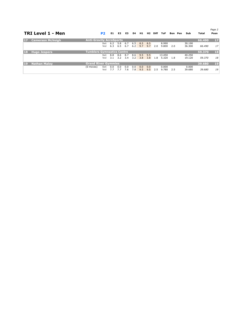|    | TRI Level 1 - Men       |                                   | P <sub>2</sub> | E1         | E <sub>2</sub> | E <sub>3</sub> | E4         | H1         | H2         | Diff | ToF            | Bon Pen | Sub             | Total  | Page 2<br>Posn |
|----|-------------------------|-----------------------------------|----------------|------------|----------------|----------------|------------|------------|------------|------|----------------|---------|-----------------|--------|----------------|
| 17 | <b>Camerson McVeigh</b> | <b>Anti-Gravity AcroSports</b>    |                |            |                |                |            |            |            |      |                |         |                 | 66.490 | $17$           |
|    |                         |                                   | Set            | 6.2        | 5.8            | 6.7            | 6.5        | 8.5        | 8.5        |      | 8.990          |         | 30.190          |        |                |
|    |                         |                                   | Vol            | 6.3        | 6.5            | 6.7            | 6.2        | 9.7        | 9.7        | 2.0  | 9.800          | 2.0     | 36.300          | 66.490 | 17             |
| 18 | <b>Hugo Jespers</b>     | <b>Tumblers Gymnastics Centre</b> |                |            |                |                |            |            |            |      |                |         |                 | 59,370 | 18             |
|    |                         |                                   | Set            | 8.8        | 8.6            | 8.7            | 8.6        | 9.5        | 9.5        |      | 13.450         |         | 40.250          |        |                |
|    |                         |                                   | Vol            | 3.1        | 3.2            | 3.4            | 3.2        | 3.8        | 3.8        | 1.8  | 5.320          | 1.8     | 19.120          | 59.370 | 18             |
| 19 | <b>Nathan Maloy</b>     | <b>Grand River Gymmies</b>        |                |            |                |                |            |            |            |      |                |         |                 | 39,680 | 19             |
|    |                         | (0 moves)                         | Set<br>Vol     | 0.0<br>7.7 | 0.0<br>7.7     | 0.0<br>7.6     | 0.0<br>7.8 | 0.0<br>9.5 | 0.0<br>9.5 | 2.5  | 0.000<br>9.780 | 2.5     | 0.000<br>39.680 | 39.680 | 19             |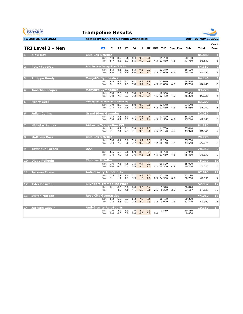| <b>GYMNASTICS</b><br><b>ONTARIO</b><br><b>SPORT STARTS HERE</b> | <b>Trampoline Results</b>                   |                |            |                |            |            |                       |            |                     |                      |     |                |                  |                        |                         |
|-----------------------------------------------------------------|---------------------------------------------|----------------|------------|----------------|------------|------------|-----------------------|------------|---------------------|----------------------|-----|----------------|------------------|------------------------|-------------------------|
| <b>TG 2nd ON Cup 2022</b>                                       | hosted by OAA and Oakville Gymnastics       |                |            |                |            |            |                       |            |                     |                      |     |                |                  | <b>April 29-May 1,</b> | 2022                    |
|                                                                 |                                             |                |            |                |            |            |                       |            |                     |                      |     |                |                  |                        | Page 1                  |
| <b>TRI Level 2 - Men</b>                                        |                                             | P <sub>2</sub> | E1         | E <sub>2</sub> | E3         | E4         | H1                    |            | H <sub>2</sub> Diff | <b>ToF</b>           |     | <b>Bon</b> Pen | Sub              | <b>Total</b>           | Posn                    |
| <b>Alexi Roy</b>                                                | <b>Club Les Sittelles</b>                   |                |            |                |            |            |                       |            |                     |                      |     |                |                  | 85,880                 | -1                      |
|                                                                 |                                             | Set<br>Vol     | 9.0<br>8.7 | 8.7<br>8.8     | 8.6<br>8.7 | 8.4<br>8.5 | 9.2<br>9.9            | 9.0<br>9.9 |                     | 11.700<br>4.3 11.880 | 4.3 |                | 38.100<br>47.780 | 85.880                 | 1                       |
| <b>Peter Fedorov</b><br>$\overline{2}$                          | Just Bounce Trampoline Club Inc.            |                |            |                |            |            |                       |            |                     |                      |     |                |                  | 84.350                 | $\overline{\mathbf{z}}$ |
|                                                                 |                                             | Set<br>Vol     | 8.3<br>8.0 | 8.1<br>7.8     | 8.3<br>7.8 | 8.3<br>8.0 | 9.3<br>9.4            | 9.2<br>9.2 |                     | 12.340<br>4.5 12.060 | 4.5 |                | 38.190<br>46.160 | 84.350                 | $\overline{2}$          |
| <b>Philippe Bondy</b><br>з                                      | <b>Manjak's Gymnastics</b>                  |                |            |                |            |            |                       |            |                     |                      |     |                |                  | 84.140                 | в                       |
|                                                                 |                                             | Set<br>Vol     | 8.5<br>8.1 | 8.3<br>7.9     | 8.2<br>7.9 | 8.1<br>7.8 | 9.8<br>9.7            | 9.9<br>9.4 |                     | 12.010<br>4.3 11.830 | 4.3 |                | 38.360<br>45.780 | 84.140                 | 3                       |
| $\overline{4}$<br><b>Jonathan Leaper</b>                        | <b>Manjak's Gymnastics</b>                  |                |            |                |            |            |                       |            |                     |                      |     |                |                  | 83.720                 | $\overline{4}$          |
|                                                                 |                                             | Set<br>Vol     | 7.8<br>7.8 | 7.6<br>7.7     | 8.2<br>7.7 | 7.8<br>7.2 | 9.5<br>9.5            | 9.4<br>9.4 |                     | 12.350<br>4.5 12.470 | 4.5 |                | 37.400<br>46.320 | 83.720                 | $\overline{4}$          |
| <b>Henry Buck</b>                                               | <b>Burlington Trampoline &amp; Tumbling</b> |                |            |                |            |            |                       |            |                     |                      |     |                |                  | 83.200                 | Б                       |
|                                                                 |                                             | Set<br>Vol     | 7.9<br>7.7 | 8.0<br>7.7     | 7.7<br>7.8 | 8.0        | 9.0<br>$7.8$ 9.5      | 9.0<br>9.2 |                     | 12.640<br>4.2 12.410 | 4.2 |                | 37.540<br>45.660 | 83.200                 | 5                       |
| <b>Julian Collins</b>                                           | <b>Grand River Gymmies</b>                  |                |            |                |            |            |                       |            |                     |                      |     |                |                  | 82.080                 | $6\phantom{1}6$         |
|                                                                 |                                             | Set<br>Vol     | 7.8<br>7.6 | 7.6<br>8.2     | 8.0<br>8.2 | 7.3<br>7.9 | 9.5<br>9.5            | 9.6<br>9.4 |                     | 11.420<br>4.3 11.560 | 4.3 |                | 36.370<br>45.710 | 82.080                 | 6                       |
| <b>Nicholas Berzak</b>                                          | <b>Airborne Trampoline KW</b>               |                |            |                |            |            |                       |            |                     |                      |     |                |                  | 81.380                 |                         |
|                                                                 |                                             | Set<br>Vol     | 8.1<br>7.1 | 8.2<br>7.1     | 8.1<br>7.3 | 7.8<br>7.1 | 9.4<br>9.6            | 9.5<br>9.6 |                     | 11.760<br>4.5 11.170 | 4.5 |                | 37.410<br>43.970 | 81.380                 | $\overline{z}$          |
| <b>Matthew Ross</b><br>8.                                       | <b>Club Les Sittelles</b>                   |                |            |                |            |            |                       |            |                     |                      |     |                |                  | 79.270                 | $\bf{8}$                |
|                                                                 |                                             | Set<br>Vol     | 7.6<br>7.4 | 8.1<br>7.7     | 8.0<br>8.0 | 7.9<br>7.7 | 9.7<br>9.7            | 9.5<br>9.5 |                     | 10.230<br>4.2 10.140 | 4.2 |                | 35.730<br>43.540 | 79.270                 | 8                       |
| <b>Tayshaun Forbes</b>                                          | <b>OAA</b>                                  |                |            |                |            |            |                       |            |                     |                      |     |                |                  | 78.350                 | $\overline{9}$          |
|                                                                 |                                             | Set<br>Vol     | 6.5<br>7.8 | 6.9<br>7.9     | 7.0<br>7.6 | 6.9<br>7.6 | 8.3<br>9.3            | 8.4<br>9.5 |                     | 10.790<br>4.5 11.610 | 4.5 |                | 32.940<br>45.410 | 78.350                 | 9                       |
| 10 Diego Poliquin                                               | <b>Club Les Sittelles</b>                   |                |            |                |            |            |                       |            |                     |                      |     |                |                  | 75.270                 | 10                      |
|                                                                 |                                             | Set<br>Vol     | 7.6<br>6.0 | 7.6<br>6.0     | 7.6<br>6.4 | 7.5<br>5.9 | 9.4<br>9.6            | 9.2<br>9.5 |                     | 10.520<br>4.2 10.300 | 4.2 |                | 35.020<br>40.250 | 75.270                 | 10                      |
| 11.<br><b>Jackson Evans</b>                                     | <b>Anti-Gravity AcroSports</b>              |                |            |                |            |            |                       |            |                     |                      |     |                |                  | 67.890                 | 11                      |
|                                                                 |                                             | Set<br>Vol     | 7.5<br>1.1 | 7.7<br>1.1     | 7.6<br>1.1 | 7.7        | 9.8<br>$1.3$ 1.8      | 9.7<br>1.8 |                     | 12.140<br>0.9 24.900 | 0.9 |                | 37.190<br>30.700 | 67.890                 | 11                      |
| 12 Tyler Boswell                                                | <b>Skyriders Trampoline Place</b>           |                |            |                |            |            |                       |            |                     |                      |     |                |                  | 57.937                 | 12                      |
|                                                                 |                                             | Set<br>Vol     | 6.1        | 6.0<br>4.5     | 6.2<br>4.8 | 6.0<br>4.1 | 9.3<br>6.8            | 9.4<br>6.8 | 2.5                 | 9.370<br>6.350       | 2.5 |                | 30.820<br>27.117 | 57.937                 | 12                      |
| 13 <sup>1</sup><br><b>Stefon Morgan</b>                         | <b>Rose City Gymnastics</b>                 |                |            |                |            |            |                       |            |                     |                      |     |                |                  | 44.060                 | 13                      |
|                                                                 |                                             | Set<br>Vol     | 6.2<br>2.8 | 6.6<br>2.3     | 6.3<br>2.2 | 6.3<br>2.2 | 7.6<br>2.9            | 7.5<br>2.9 | 1.2                 | 10.170<br>3.940      | 1.2 |                | 30.320<br>13.740 | 44.060                 | 13                      |
| 14 Jackson Gauvin                                               | <b>Anti-Gravity AcroSports</b>              |                |            |                |            |            |                       |            |                     |                      |     |                |                  | 10.350                 | 14                      |
|                                                                 |                                             | Set<br>Vol     | 2.0<br>0.0 | 2.2<br>0.0     | 1.9<br>0.0 | 1.9        | 2.9<br>$0.0\quad 0.0$ | 2.9<br>0.0 | 0.0                 | 3.550                |     |                | 10.350<br>0.000  |                        |                         |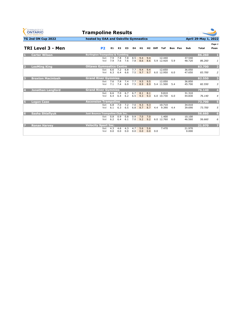| <b>GYMNASTICS</b><br><b>ONTARIO</b><br><b>SPORT STARTS HERE</b> | <b>Trampoline Results</b>                                                        |                                           |                                              |
|-----------------------------------------------------------------|----------------------------------------------------------------------------------|-------------------------------------------|----------------------------------------------|
| <b>TG 2nd ON Cup 2022</b>                                       | hosted by OAA and Oakville Gymnastics                                            |                                           | April 29-May 1, 2022                         |
| <b>TRI Level 3 - Men</b>                                        | P <sub>2</sub><br>E1<br>H <sub>1</sub><br>E <sub>2</sub><br>E3<br>E4             | H <sub>2</sub> Diff ToF<br><b>Bon</b> Pen | Page 1<br>Sub<br>Total<br>Posn               |
| <b>Carter Wilson</b>                                            | <b>Burlington Trampoline &amp; Tumbling</b>                                      |                                           | 86.260<br>л                                  |
|                                                                 | 7.8<br>7.9<br>7.8<br>8.5<br>9.4<br>Set<br>7.6<br>7.6<br>8.6<br>7.9<br>7.8<br>Vol | 9.4<br>12.440<br>8.6<br>5.9 12.920<br>5.9 | 37.540<br>86.260<br>48.720<br>1              |
| <b>LeeMing King</b>                                             | <b>Ottawa Gymnastics Centre</b>                                                  |                                           | $\overline{\mathbf{2}}$<br>83.700            |
|                                                                 | 7.2<br>6.8<br>7.7<br>6.6<br>9.4<br>Set<br>7.5<br>9.7<br>6.3<br>6.4<br>6.6<br>Vol | 12.650<br>9.4<br>9.7<br>6.0 12.950<br>6.0 | 36.050<br>47.650<br>83.700<br>2              |
| <b>Braxton Macintosh</b><br>в                                   | <b>Grand River Gymmies</b>                                                       |                                           | 82.550<br>$\overline{\mathbf{3}}$            |
|                                                                 | 7.8<br>7.4<br>7.7<br>7.6<br>9.5<br>Set<br>7.5<br>6.9<br>8.9<br>7.1<br>7.4<br>Vol | 9.5<br>12.050<br>8.9<br>5.4 11.500<br>5.4 | 36.850<br>3<br>45.700<br>82.550              |
| <b>Jonathan Langford</b>                                        | <b>Grand River Gymmies</b>                                                       |                                           | 76.140<br>$\overline{4}$                     |
|                                                                 | 7.0<br>6.7<br>6.6<br>6.7<br>8.1<br>Set<br>$6.5$ 9.3<br>6.4<br>6.2<br>Vol<br>6.4  | 8.1<br>9.810<br>9.3<br>6.0 10.730<br>6.0  | 31.310<br>44.830<br>76.140<br>$\overline{4}$ |
| <b>Logan Case</b>                                               | <b>Ascension Trampoline</b>                                                      |                                           | $5\overline{5}$<br>73.700                    |
|                                                                 | 6.8<br>7.2<br>7.0<br>7.0<br>9.3<br>Set<br>6.5<br>6.3<br>6.8<br>8.7<br>6.1<br>Vol | 10.710<br>9.3<br>8.7<br>4.4 9.390<br>4.4  | 34.010<br>73.700<br>5<br>39.690              |
| <b>Sasha Shteflvuk</b><br>6                                     | <b>Just Bounce Trampoline Club Inc.</b>                                          |                                           | 56.660<br>6                                  |
|                                                                 | 0.8<br>0.9<br>0.8<br>0.9<br>7.0<br>Set<br>7.0<br>9.2<br>6.2<br>6.1<br>6.4<br>Vol | 7.0<br>1.400<br>9.2<br>6.0 12.760<br>6.0  | 10.100<br>46.560<br>56.660<br>6              |
| <b>Ronan Harvey</b><br>7                                        | <b>Velocity Sport Inc.</b>                                                       |                                           | $\overline{z}$<br>21.970                     |
|                                                                 | 4.3<br>4.6<br>4.3<br>4.7<br>5.6<br>Set<br>0.0<br>0.0<br>0.0<br>0.0<br>0.0<br>Vol | 7.470<br>5.6<br>0.0<br>0.0                | 21.970<br>0.000                              |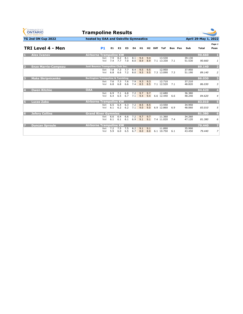| <b>GYMNASTICS</b><br><b>ONTARIO</b><br><b>SPORT STARTS HERE</b> | <b>Trampoline Results</b>                   |            |            |                |            |            |            |            |                     |                          |     |         |                  |                      |                         |
|-----------------------------------------------------------------|---------------------------------------------|------------|------------|----------------|------------|------------|------------|------------|---------------------|--------------------------|-----|---------|------------------|----------------------|-------------------------|
| <b>TG 2nd ON Cup 2022</b>                                       | hosted by OAA and Oakville Gymnastics       |            |            |                |            |            |            |            |                     |                          |     |         |                  | April 29-May 1, 2022 |                         |
| TRI Level 4 - Men                                               |                                             | <b>P1</b>  | E1         | E <sub>2</sub> | E3         | E4         | H1         |            | H <sub>2</sub> Diff | <b>ToF</b>               |     | Bon Pen | Sub              | <b>Total</b>         | Page 1<br>Posn          |
| <b>Alex Ivanov</b>                                              | <b>Airborne Trampoline KW</b>               |            |            |                |            |            |            |            |                     |                          |     |         |                  | 90.660               | 1                       |
|                                                                 |                                             | Set<br>Vol | 7.9<br>7.4 | 8.2<br>7.7     | 8.1<br>7.0 | 8.1<br>8.0 | 9.4<br>8.9 | 9.4<br>8.9 |                     | 13.530<br>7.1 13.330     | 7.1 |         | 39.130<br>51.530 | 90.660               | 1                       |
| <b>Enzo Marrie-Campeau</b>                                      | <b>Just Bounce Trampoline Club Inc.</b>     |            |            |                |            |            |            |            |                     |                          |     |         |                  | 89.140               | $\overline{\mathbf{2}}$ |
|                                                                 |                                             | Set<br>Vol | 7.8<br>6.8 | 7.3<br>6.6     | 7.7<br>7.2 | 8.4<br>8.0 | 9.5<br>9.5 | 9.5<br>9.5 |                     | 12.950<br>7.3 13.090 7.3 |     |         | 37.950<br>51.190 | 89.140               | $\overline{a}$          |
| <b>Maks Skripnicenko</b><br>в                                   | <b>Burlington Trampoline &amp; Tumbling</b> |            |            |                |            |            |            |            |                     |                          |     |         |                  | 86.030               | $\overline{\mathbf{3}}$ |
|                                                                 |                                             | Set<br>Vol | 7.6<br>6.8 | 7.3<br>6.8     | 7.6<br>6.6 | 7.9<br>7.4 | 9.3<br>8.5 | 9.3<br>8.5 |                     | 12.710<br>7.1 12.520     | 7.1 |         | 37.210<br>48.820 | 86.030               | 3                       |
| <b>Owen Ritchie</b>                                             | <b>OAA</b>                                  |            |            |                |            |            |            |            |                     |                          |     |         |                  | 84.620               | $\overline{4}$          |
|                                                                 |                                             | Set<br>Vol | 6.9<br>6.4 | 7.1<br>6.5     | 6.8<br>6.7 | 7.2<br>7.1 | 9.7<br>9.4 | 9.7<br>9.4 |                     | 12.680<br>6.6 12.440     | 6.6 |         | 36.380<br>48.240 | 84.620               | $\overline{4}$          |
| <b>Lucas Zaba</b><br>ы                                          | <b>Airborne Trampoline KW</b>               |            |            |                |            |            |            |            |                     |                          |     |         |                  | 83.010               | $\sqrt{5}$              |
|                                                                 |                                             | Set<br>Vol | 6.5<br>6.1 | 6.4<br>6.2     | 6.3<br>6.2 | 7.2<br>7.1 | 8.5<br>9.0 | 8.5<br>9.0 |                     | 13.550<br>6.9 12.860     | 6.9 |         | 34.950<br>48.060 | 83.010               | 5                       |
| <b>Jefery Collins</b><br>6                                      | <b>Grand River Gymmies</b>                  |            |            |                |            |            |            |            |                     |                          |     |         |                  | 81,380               | $6\phantom{1}$          |
|                                                                 |                                             | Set<br>Vol | 6.6<br>6.1 | 6.4<br>6.1     | 6.6<br>6.1 | 7.2<br>6.9 | 9.7<br>9.1 | 9.7<br>9.1 |                     | 11.360<br>7.4 11.020     | 7.4 |         | 34.260<br>47.120 | 81.380               | 6                       |
| <b>Duncan Sproule</b>                                           | <b>Airborne Trampoline KW</b>               |            |            |                |            |            |            |            |                     |                          |     |         |                  | 79.440               | $\overline{z}$          |
|                                                                 |                                             | Set<br>Vol | 7.2<br>5.9 | 7.5<br>6.0     | 7.5<br>6.5 | 8.2<br>6.7 | 9.1<br>8.0 | 9.1<br>8.0 |                     | 11.890<br>6.1 10.750     | 6.1 |         | 35.990<br>43.450 | 79.440               | $\overline{z}$          |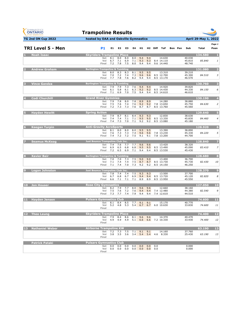| GYMNASTICS<br><b>ONTARIO</b><br><b>SPORT STARTS HERE</b> | <b>Trampoline Results</b>                                                                                                                                                               |                            |                 |                         |
|----------------------------------------------------------|-----------------------------------------------------------------------------------------------------------------------------------------------------------------------------------------|----------------------------|-----------------|-------------------------|
| <b>TG 2nd ON Cup 2022</b>                                | hosted by OAA and Oakville Gymnastics                                                                                                                                                   |                            | April 29-May 1, | 2022                    |
| <b>TRI Level 5 - Men</b>                                 | <b>P1</b><br>E1.<br>E2<br>E3<br>E4<br>H1.<br>H <sub>2</sub> Diff<br>ToF<br>Bon Pen                                                                                                      | Sub                        | Total           | Page 1<br>Posn          |
| <b>Noah Isaac</b>                                        | <b>Skyriders Trampoline Place</b>                                                                                                                                                       |                            | 134.580         | п                       |
|                                                          | 8.0<br>Set<br>8.1<br>8.0<br>8.0<br>9.4<br>9.4<br>14.630<br>9.3<br>9.3<br>Vol<br>6.7<br>7.1<br>6.9<br>7.1<br>8.4 14.110<br>7.2<br>7.8<br>7.5<br>8.0<br>Final<br>9.4<br>9.4<br>9.6 14.440 | 40.030<br>45.810<br>48.740 | 85.840          | 1                       |
| <b>Andrew Graham</b>                                     | <b>Burlington Trampoline &amp; Tumbling</b>                                                                                                                                             |                            | 131.080         | $\overline{\mathbf{2}}$ |
|                                                          | 8.3<br>9.5<br>Set<br>8.0<br>8.3<br>8.1<br>9.5<br>13.310<br>7.4<br>Vol<br>7.0<br>7.2<br>7.3<br>9.6<br>9.6<br>8.5 12.700<br>7.6<br>8.2<br>7.7<br>7.8<br>9.4<br>9.4<br>8.5 13.170<br>Final | 39.210<br>45.300<br>46.570 | 84.510          | 3                       |
| <b>Vince Gandza</b>                                      | <b>Burlington Trampoline &amp; Tumbling</b>                                                                                                                                             |                            | 130.760         | з                       |
|                                                          | 9.4<br>7.9<br>7.9<br>7.3<br>7.6<br>9.4<br>14.920<br>Set<br>Vol<br>5.8<br>6.1<br>6.3<br>9.2<br>9.2<br>8.5 14.430<br>6.1<br>Final<br>7.1<br>6.9<br>7.0<br>7.5<br>9.4<br>9.4<br>8.5 14.610 | 39.820<br>44.330<br>46.610 | 84.150          | 6                       |
| <b>Codi Churchill</b>                                    | <b>Grand River Gymmies</b>                                                                                                                                                              |                            | 130.190         | 4                       |
|                                                          | 7.8<br>8.0<br>Set<br>7.9<br>7.8<br>8.9<br>8.9<br>14.280<br>Vol<br>7.5<br>7.6<br>7.4<br>7.6<br>9.2<br>9.2<br>7.8 13.650<br>Final<br>7.2<br>7.3<br>7.3<br>7.6<br>8.7<br>8.7<br>8.5 13.760 | 38.880<br>45.750<br>45.560 | 84.630          | $\overline{2}$          |
| <b>Hayden Hewitt</b>                                     | <b>Spring Action</b><br>7.9<br>8.7<br>8.1<br>8.4<br>9.3<br>9.3<br>12.830<br>Set                                                                                                         | 38.630                     | 129.640         | 5                       |
|                                                          | 9.5<br>Vol<br>7.4<br>7.4<br>7.1<br>7.1<br>9.5<br>8.5 13.330<br>7.3<br>9.2<br>Final<br>7.4<br>7.0<br>7.1<br>9.2<br>8.5 13.080                                                            | 45.830<br>45.180           | 84.460          | $\overline{4}$          |
| Keegan Turpin<br>6                                       | <b>Anti-Gravity AcroSports</b><br>8.0<br>8.0<br>8.0<br>9.5<br>13.390<br>8.1<br>9.5<br>Set                                                                                               | 38.890                     | 128.920         | 6                       |
|                                                          | Vol<br>7.6<br>7.3<br>7.3<br>7.4<br>9.6<br>9.6<br>7.8 13.230<br>7.5<br>Final<br>7.4<br>7.2<br>7.2<br>9.1<br>9.1<br>7.8 13.200                                                            | 45.330<br>44.700           | 84.220          | 5                       |
| <b>Seamus McKeag</b>                                     | <b>Just Bounce Trampoline Club Inc.</b><br>7.7<br>Set<br>7.4<br>7.6<br>7.7<br>9.6<br>9.6<br>13.420                                                                                      | 38.320                     | 128,840         | 7                       |
|                                                          | 9.5<br>Vol<br>6.9<br>6.5<br>6.8<br>6.8<br>9.5<br>8.5 13.490<br>6.5<br>7.2<br>6.9<br>7.1<br>9.4<br>9.4<br>8.5 13.530<br>Final                                                            | 45.090<br>45.430           | 83.410          | 7                       |
| <b>Xavier Bair</b><br>8                                  | <b>Burlington Trampoline &amp; Tumbling</b><br>7.0<br>7.5<br>9.0<br>9.0<br>Set<br>7.0<br>7.3<br>13.400                                                                                  | 36.700                     | 128,680         | $\mathbf{8}$            |
|                                                          | Vol<br>7.1<br>7.4<br>7.4<br>7.5<br>8.7<br>8.7<br>8.5 13.730<br>7.1<br>7.0<br>7.3<br>Final<br>7.4<br>9.2<br>9.2<br>8.5 14.150                                                            | 45.730<br>46.250           | 82.430          | 10                      |
| <b>Logan Johnston</b>                                    | <b>Just Bounce Trampoline Club Inc.</b><br>7.8<br>7.4<br>7.4<br>7.5<br>9.3<br>9.3<br>13.500<br>Set                                                                                      | 37.700                     | 128,370         | $\cdot$                 |
|                                                          | Vol<br>6.7<br>6.8<br>6.7<br>6.9<br>9.4<br>9.4<br>8.5 13.720<br>Final<br>6.6<br>7.1<br>7.1<br>7.1<br>8.9<br>8.9<br>8.5 13.950                                                            | 45.120<br>45.550           | 82.820          | 8                       |
| 10 Jon Houser                                            | <b>Rose City Gymnastics</b><br>7.7<br>Set<br>8.2<br>7.9<br>8.0<br>9.6<br>9.6<br>12.660                                                                                                  | 38.160                     | 127.050         | 10                      |
|                                                          | 7.5<br>7.6<br>7.2<br>7.6<br>9.4<br>9.4<br>7.4 12.480<br>Vol<br>7.7<br>7.4<br>7.9<br>Final<br>7.3<br>9.4<br>9.4<br>7.4 12.610                                                            | 44.380<br>44.510           | 82.540          | 9                       |
| 11<br><b>Hayden Jensen</b>                               | <b>Pulsars Gymnastics Club</b><br>Set<br>8.1<br>8.4<br>8.5<br>7.7<br>9.1<br>9.1<br>15.170                                                                                               | 40.770                     | 74.600          | 11                      |
|                                                          | 5.2<br>4.8<br>5.3<br>5.4<br>6.7<br>6.7<br>6.0 10.630<br>Vol<br>Final                                                                                                                    | 33.830                     | 74.600          | 11                      |
| <b>Theo Leung</b><br>$12 \overline{ }$                   | <b>Skyriders Trampoline Place</b><br>Set<br>8.6<br>7.9<br>8.4<br>8.1<br>9.6<br>9.6<br>14.370                                                                                            | 40.470                     | 74.400          | 12                      |
|                                                          | 4.9<br>Vol<br>4.9<br>4.9<br>$5.1\quad 6.6$<br>6.6 7.2 10.330<br>Final                                                                                                                   | 33.930                     | 74.400          | 12                      |
| <b>Nathaniel Weber</b><br>13                             | <b>Airborne Trampoline KW</b><br>7.2<br>7.3<br>7.1<br>Set<br>7.5<br>9.1<br>9.1<br>14.160                                                                                                | 37.760                     | 63.190          | 13                      |
|                                                          | 5.4<br>5.4<br>Vol<br>3.8<br>3.5<br>3.6<br>3.4<br>4.6 8.330<br>Final                                                                                                                     | 25.430                     | 63.190          | 13                      |
| <b>Patrick Pataki</b>                                    | <b>Pulsars Gymnastics Club</b><br>0.0<br>0.0<br>0.0<br>Set<br>0.0<br>0.0<br>0.0<br>0.0                                                                                                  | 0.000                      |                 |                         |
|                                                          | 0.0<br>0.0<br>0.0<br>0.0<br>0.0<br>0.0<br>Vol<br>0.0<br>Final                                                                                                                           | 0.000                      |                 |                         |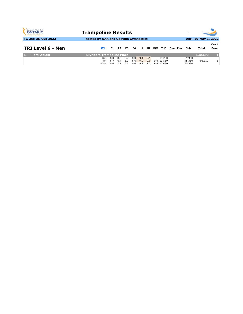| <b>GYMNASTICS</b><br><b>ONTARIO</b><br><b>SPORT STARTS HERE</b> | <b>Trampoline Results</b>             |                   |                   |                   |                   |                   |                   |      |                                    |  |         |                            |                      |                |
|-----------------------------------------------------------------|---------------------------------------|-------------------|-------------------|-------------------|-------------------|-------------------|-------------------|------|------------------------------------|--|---------|----------------------------|----------------------|----------------|
| TG 2nd ON Cup 2022                                              | hosted by OAA and Oakville Gymnastics |                   |                   |                   |                   |                   |                   |      |                                    |  |         |                            | April 29-May 1, 2022 |                |
| TRI Level 6 - Men                                               | P1                                    | E1.               | E <sub>2</sub>    | E3.               | E4                | H1.               | H 2               | Diff | <b>ToF</b>                         |  | Bon Pen | Sub                        | Total                | Page 1<br>Posn |
| <b>Remi Abidib</b>                                              | <b>Skyriders Trampoline Place</b>     |                   |                   |                   |                   |                   |                   |      |                                    |  |         |                            | 130.690              |                |
|                                                                 | Set<br>Vol<br>Final                   | 8.0<br>6.7<br>6.6 | 8.6<br>6.4<br>7.1 | 8.7<br>6.3<br>6.4 | 8.0<br>6.6<br>6.4 | 9.1<br>9.0<br>9.1 | 9.1<br>9.0<br>9.1 |      | 14.250<br>9.8 13.560<br>9.8 13.480 |  |         | 39.950<br>45.360<br>45.380 | 85.310               |                |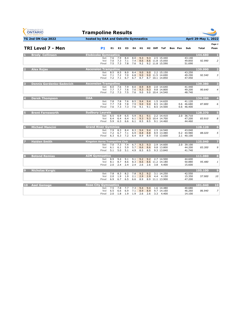| <b>GYMNASTICS</b><br>ONTARIO<br><b>SPORT STARTS HERE</b> | <b>Trampoline Results</b>             |            |                      |            |            |            |            |                     |                               |                |                          |              |                  |
|----------------------------------------------------------|---------------------------------------|------------|----------------------|------------|------------|------------|------------|---------------------|-------------------------------|----------------|--------------------------|--------------|------------------|
| <b>TG 2nd ON Cup 2022</b>                                | hosted by OAA and Oakville Gymnastics |            | April 29-May 1, 2022 |            |            |            |            |                     |                               |                |                          |              |                  |
|                                                          |                                       |            |                      |            |            |            |            |                     |                               |                |                          |              | Page 1           |
| <b>TRI Level 7 - Men</b>                                 | P1                                    | E1         | E <sub>2</sub>       | E3         | E4         | H1         |            | H <sub>2</sub> Diff | ToF                           | <b>Bon</b> Pen | Sub                      | <b>Total</b> | Posn             |
| <b>Brody Collinson</b>                                   | Etobicoke Gymnastics                  |            |                      |            |            |            |            |                     |                               |                |                          | 144.680      | л                |
|                                                          | Set<br>Vol                            | 7.6<br>7.0 | 7.9<br>7.3           | 8.4<br>7.1 | 8.0<br>7.4 | 9.3<br>8.6 | 9.3        |                     | 2.5 15.440<br>8.6 11.8 15.050 |                | 43.140<br>49.850         | 92.990       | $\overline{2}$   |
|                                                          | Final                                 | 7.5        | 7.3                  | 7.8        | 7.6        | 9.2        |            |                     | 9.2 11.8 15.590               |                | 51.690                   |              |                  |
| <b>Alex Rojas</b>                                        | <b>Ascension Trampoline</b>           |            |                      |            |            |            |            |                     |                               |                |                          | 139.990      | $\overline{2}$   |
|                                                          | Set<br>Vol                            | 8.5<br>7.1 | 8.5<br>7.2           | 8.0<br>7.0 | 8.4<br>6.8 | 9.0<br>9.0 | 9.0        |                     | 2.2 15.150<br>9.0 11.5 14.690 |                | 43.250<br>49.290         | 92.540       | $\overline{3}$   |
|                                                          | Final                                 | 7.2        | 7.1                  | 6.7        | 6.7        | 8.7        |            |                     | 8.7 10.1 14.850               |                | 47.450                   |              |                  |
| <b>Dennis Gordenko-Sadevich</b><br>в                     | <b>Ascension Trampoline</b>           |            |                      |            |            |            |            |                     |                               |                |                          | 139.380      | -3               |
|                                                          | Set<br>Vol                            | 8.0<br>7.7 | 7.6<br>7.7           | 7.9<br>7.6 | 8.0<br>7.6 | 8.9<br>9.3 | 8.9<br>9.3 |                     | 2.0 14.640<br>9.8 14.800      |                | 41.440<br>49.200         | 90.640       | $\overline{4}$   |
|                                                          | Final                                 | 7.2        | 7.3                  | 7.5        | 7.6        | 9.0        |            |                     | 9.0 10.4 14.540               |                | 48.740                   |              |                  |
| <b>Derek Thompson</b>                                    | <b>OAA</b>                            |            |                      |            |            |            |            |                     |                               |                |                          | 134.200      | $\overline{4}$   |
|                                                          | Set<br>Vol                            | 7.8<br>7.7 | 7.8<br>7.8           | 7.6<br>7.8 | 8.5<br>7.9 | 9.4<br>9.0 | 9.4<br>9.0 |                     | 1.5 14.620<br>8.5 14.180      |                | 41.120<br>0.6 46.680     | 87.800       | 6                |
|                                                          | Final                                 | 7.6        | 7.3                  | 7.3        | 7.6        | 9.1        | 9.1        |                     | 8.5 14.500                    |                | 0.6 46.400               |              |                  |
| <b>Brent Farnsworth</b>                                  | <b>Sudbury Laurels</b>                |            |                      |            |            |            |            |                     |                               |                |                          | 128.370      | 5                |
|                                                          | Set<br>Vol                            | 6.5<br>6.4 | 6.9<br>6.4           | 6.5<br>6.4 | 5.9<br>6.1 | 9.1<br>9.3 | 9.1        |                     | 2.2 14.410<br>9.3 10.4 14.700 |                | 2.0 36.710<br>47.200     | 83.910       | 8                |
|                                                          | Final                                 | 5.9        | 6.3                  | 6.6        | 6.1        | 8.5        | 8.5        |                     | 9.1 14.460                    |                | 44.460                   |              |                  |
| <b>Michael Mancini</b>                                   | <b>Grand River Gymmies</b>            |            |                      |            |            |            |            |                     |                               |                |                          | 128.120      | 6                |
|                                                          | Set                                   | 7.9        | 8.3                  | 8.4        | 8.3        | 9.4        | 9.4        |                     | 2.5 14.540                    |                | 43.040                   |              | 5                |
|                                                          | Vol<br>Final                          | 7.2<br>6.3 | 6.7<br>6.3           | 7.1<br>7.2 | 6.9<br>6.4 | 8.8<br>8.9 | 8.8<br>8.9 |                     | 8.9 13.480<br>7.0 13.600      |                | 0.2 44.980<br>2.1 40.100 | 88.020       |                  |
| <b>Haiden Smith</b>                                      | <b>Kingston Aeros Trampoline Club</b> |            |                      |            |            |            |            |                     |                               |                |                          | 125.040      | 7                |
|                                                          | Set                                   | 7.0        | 7.3                  | 7.4        | 6.7        | 9.3        | 9.3        |                     | 2.9 14.600                    |                | 2.0 39.100               |              |                  |
|                                                          | Vol<br>Final                          | 6.1<br>5.1 | 6.1<br>5.0           | 5.9<br>5.1 | 5.7<br>4.9 | 8.6<br>8.5 | 8.6<br>8.5 |                     | 9.8 13.800<br>9.3 13.840      |                | 44.200<br>41.740         | 83.300       | 9                |
| <b>Botond Remias</b><br>8                                | <b>AIM Gymnastics</b>                 |            |                      |            |            |            |            |                     |                               |                |                          | 111.080      | 8                |
|                                                          | Set                                   | 8.9        | 9.4                  | 9.1        | 9.1        | 9.2        | 9.2        |                     | 2.7 14.500                    |                | 44.600                   |              |                  |
|                                                          | Vol<br>Final                          | 8.1<br>2.0 | 8.7<br>2.4           | 8.6<br>2.4 | 8.3<br>2.4 | 8.6<br>2.6 | 2.6        | 3.8                 | 8.6 11.2 14.180<br>4.400      |                | 50.880<br>15.600         | 95.480       | 1                |
| <b>Nicholas Kvrgic</b><br>9                              | <b>OAA</b>                            |            |                      |            |            |            |            |                     |                               |                |                          | 105.100      | $\boldsymbol{9}$ |
|                                                          | Set                                   | 7.8        | 8.3                  | 8.2        | 7.8        | 9.2        | 9.2        |                     | 3.1 14.250                    |                | 42.550                   |              |                  |
|                                                          | Vol<br>Final                          | 2.0<br>6.9 | 1.9<br>6.7           | 1.9<br>6.5 | 2.1<br>6.6 | 2.9<br>8.9 | 2.9        | 4.4                 | 4.150<br>8.9 11.1 13.900      |                | 15.350<br>47.200         | 57.900       | 10               |
|                                                          |                                       |            |                      |            |            |            |            |                     |                               |                |                          |              |                  |
| 10<br><b>Asel Gamage</b>                                 | <b>Rose City Gymnastics</b><br>Set    | 7.5        | 7.8                  | 7.7        | 7.3        | 9.4        | 9.4        |                     | 1.6 14.480                    |                | 40.680                   | 101.040      | 10               |
|                                                          | Vol<br>Final                          | 6.5<br>2.0 | 6.6<br>1.8           | 6.9<br>1.9 | 7.1<br>1.9 | 8.9<br>2.6 | 8.9<br>2.6 | 3.3                 | 9.7 14.160<br>4.400           |                | 46.260<br>14.100         | 86.940       | $\overline{z}$   |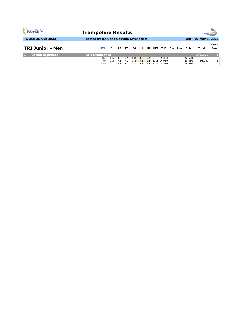| <b>GYMNASTICS</b><br><b>ONTARIO</b><br><b>SPORT STARTS HERE</b> | <b>Trampoline Results</b>             |                   |                   |                   |                   |                   |     |                     |                                              |  |         |                            |                      |                |
|-----------------------------------------------------------------|---------------------------------------|-------------------|-------------------|-------------------|-------------------|-------------------|-----|---------------------|----------------------------------------------|--|---------|----------------------------|----------------------|----------------|
| TG 2nd ON Cup 2022                                              | hosted by OAA and Oakville Gymnastics |                   |                   |                   |                   |                   |     |                     |                                              |  |         |                            | April 29-May 1, 2022 |                |
| <b>TRI Junior - Men</b>                                         | P1                                    | E1.               | E <sub>2</sub>    | E3.               | E4                | H1.               |     | H <sub>2</sub> Diff | <b>ToF</b>                                   |  | Bon Pen | Sub                        | Total                | Page 1<br>Posn |
| <b>Declan Highstead</b>                                         | <b>AIM Gymnastics</b>                 |                   |                   |                   |                   |                   |     |                     |                                              |  |         |                            | 141.970              |                |
|                                                                 | Set<br>Vol<br>Final                   | 8.5<br>7.3<br>7.1 | 9.0<br>7.5<br>6.9 | 9.5<br>7.3<br>7.1 | 8.8<br>7.8<br>7.7 | 9.5<br>9.5<br>8.9 | 9.5 |                     | 15.320<br>9.5 11.2 14.960<br>8.9 11.2 14.590 |  |         | 42.620<br>50.460<br>48.890 | 93.080               |                |